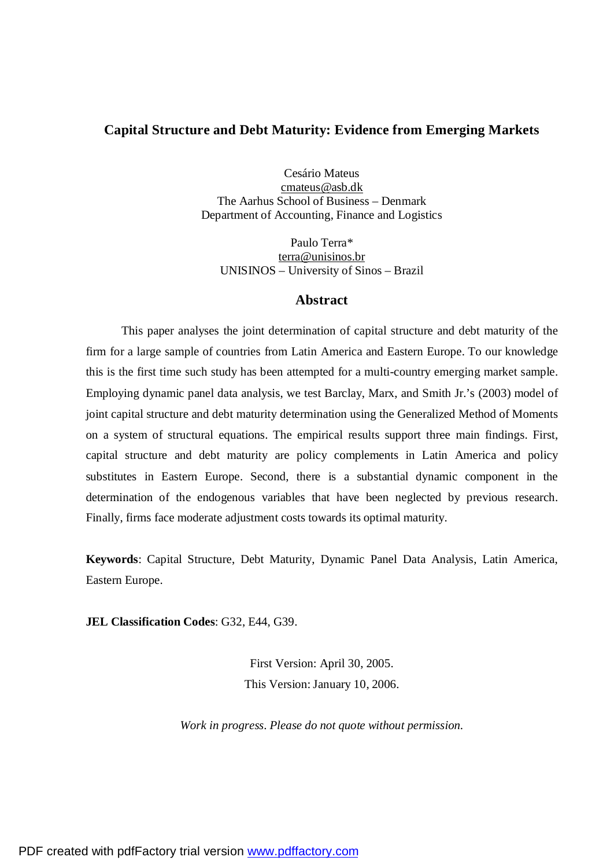# **Capital Structure and Debt Maturity: Evidence from Emerging Markets**

Cesário Mateus [cmateus@asb.dk](mailto:cmateus@asb.dk) The Aarhus School of Business – Denmark Department of Accounting, Finance and Logistics

Paulo Terra\* [terra@unisinos.br](mailto:terra@unisinos.br) UNISINOS – University of Sinos – Brazil

## **Abstract**

This paper analyses the joint determination of capital structure and debt maturity of the firm for a large sample of countries from Latin America and Eastern Europe. To our knowledge this is the first time such study has been attempted for a multi-country emerging market sample. Employing dynamic panel data analysis, we test Barclay, Marx, and Smith Jr.'s (2003) model of joint capital structure and debt maturity determination using the Generalized Method of Moments on a system of structural equations. The empirical results support three main findings. First, capital structure and debt maturity are policy complements in Latin America and policy substitutes in Eastern Europe. Second, there is a substantial dynamic component in the determination of the endogenous variables that have been neglected by previous research. Finally, firms face moderate adjustment costs towards its optimal maturity.

**Keywords**: Capital Structure, Debt Maturity, Dynamic Panel Data Analysis, Latin America, Eastern Europe.

**JEL Classification Codes**: G32, E44, G39.

First Version: April 30, 2005. This Version: January 10, 2006.

*Work in progress. Please do not quote without permission.*

PDF created with pdfFactory trial version [www.pdffactory.com](http://www.pdffactory.com)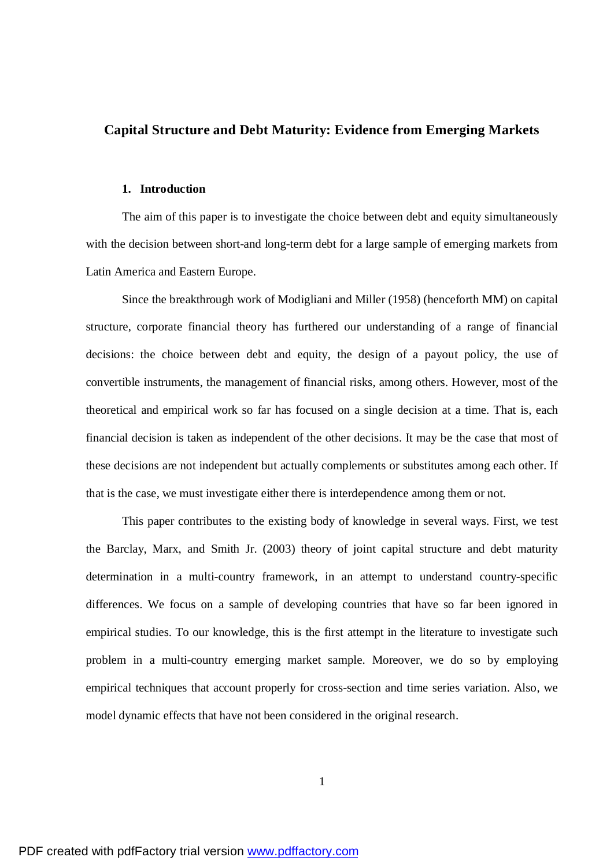## **Capital Structure and Debt Maturity: Evidence from Emerging Markets**

#### **1. Introduction**

The aim of this paper is to investigate the choice between debt and equity simultaneously with the decision between short-and long-term debt for a large sample of emerging markets from Latin America and Eastern Europe.

Since the breakthrough work of Modigliani and Miller (1958) (henceforth MM) on capital structure, corporate financial theory has furthered our understanding of a range of financial decisions: the choice between debt and equity, the design of a payout policy, the use of convertible instruments, the management of financial risks, among others. However, most of the theoretical and empirical work so far has focused on a single decision at a time. That is, each financial decision is taken as independent of the other decisions. It may be the case that most of these decisions are not independent but actually complements or substitutes among each other. If that is the case, we must investigate either there is interdependence among them or not.

This paper contributes to the existing body of knowledge in several ways. First, we test the Barclay, Marx, and Smith Jr. (2003) theory of joint capital structure and debt maturity determination in a multi-country framework, in an attempt to understand country-specific differences. We focus on a sample of developing countries that have so far been ignored in empirical studies. To our knowledge, this is the first attempt in the literature to investigate such problem in a multi-country emerging market sample. Moreover, we do so by employing empirical techniques that account properly for cross-section and time series variation. Also, we model dynamic effects that have not been considered in the original research.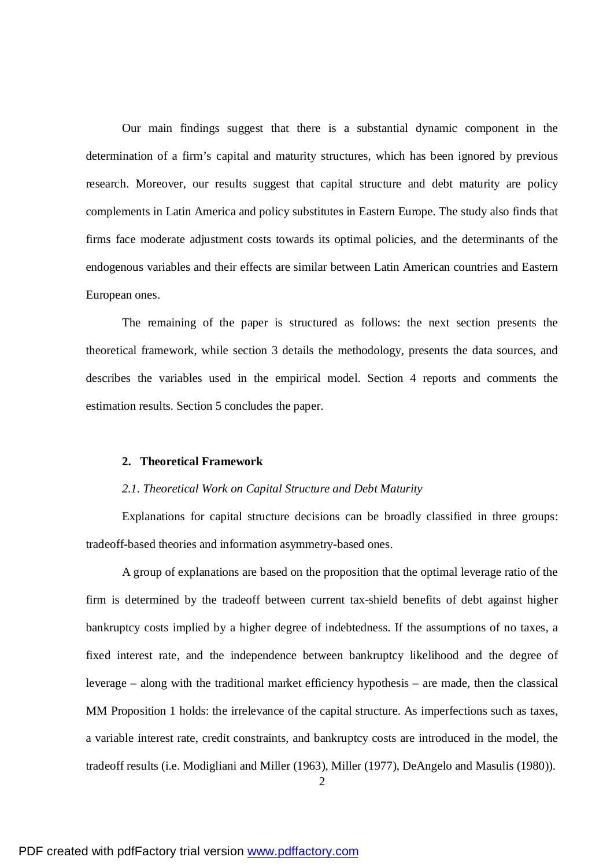Our main findings suggest that there is a substantial dynamic component in the determination of a firm's capital and maturity structures, which has been ignored by previous research. Moreover, our results suggest that capital structure and debt maturity are policy complements in Latin America and policy substitutes in Eastern Europe. The study also finds that firms face moderate adjustment costs towards its optimal policies, and the determinants of the endogenous variables and their effects are similar between Latin American countries and Eastern European ones.

The remaining of the paper is structured as follows: the next section presents the theoretical framework, while section 3 details the methodology, presents the data sources, and describes the variables used in the empirical model. Section 4 reports and comments the estimation results. Section 5 concludes the paper.

#### **2. Theoretical Framework**

#### *2.1. Theoretical Work on Capital Structure and Debt Maturity*

Explanations for capital structure decisions can be broadly classified in three groups: tradeoff-based theories and information asymmetry-based ones.

A group of explanations are based on the proposition that the optimal leverage ratio of the firm is determined by the tradeoff between current tax-shield benefits of debt against higher bankruptcy costs implied by a higher degree of indebtedness. If the assumptions of no taxes, a fixed interest rate, and the independence between bankruptcy likelihood and the degree of leverage – along with the traditional market efficiency hypothesis – are made, then the classical MM Proposition 1 holds: the irrelevance of the capital structure. As imperfections such as taxes, a variable interest rate, credit constraints, and bankruptcy costs are introduced in the model, the tradeoff results (i.e. Modigliani and Miller (1963), Miller (1977), DeAngelo and Masulis (1980)).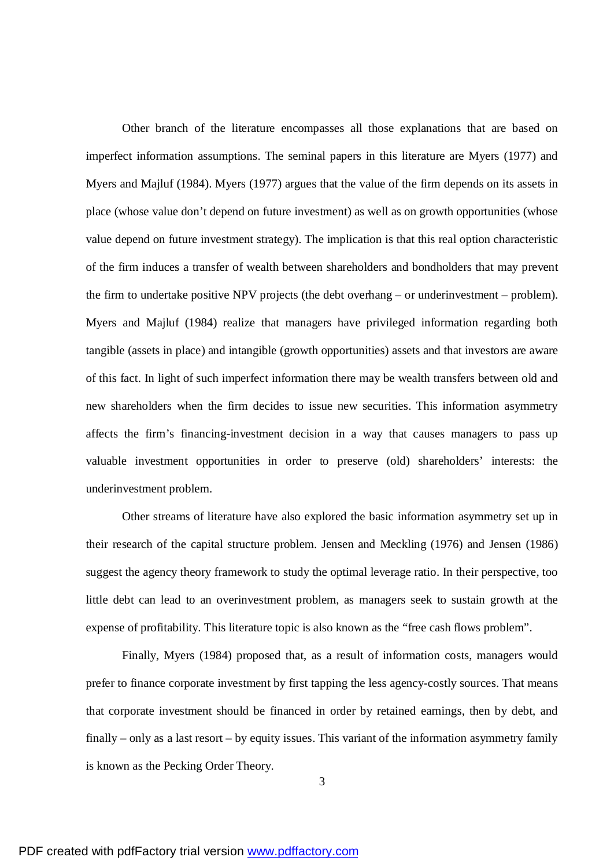Other branch of the literature encompasses all those explanations that are based on imperfect information assumptions. The seminal papers in this literature are Myers (1977) and Myers and Majluf (1984). Myers (1977) argues that the value of the firm depends on its assets in place (whose value don't depend on future investment) as well as on growth opportunities (whose value depend on future investment strategy). The implication is that this real option characteristic of the firm induces a transfer of wealth between shareholders and bondholders that may prevent the firm to undertake positive NPV projects (the debt overhang – or underinvestment – problem). Myers and Majluf (1984) realize that managers have privileged information regarding both tangible (assets in place) and intangible (growth opportunities) assets and that investors are aware of this fact. In light of such imperfect information there may be wealth transfers between old and new shareholders when the firm decides to issue new securities. This information asymmetry affects the firm's financing-investment decision in a way that causes managers to pass up valuable investment opportunities in order to preserve (old) shareholders' interests: the underinvestment problem.

Other streams of literature have also explored the basic information asymmetry set up in their research of the capital structure problem. Jensen and Meckling (1976) and Jensen (1986) suggest the agency theory framework to study the optimal leverage ratio. In their perspective, too little debt can lead to an overinvestment problem, as managers seek to sustain growth at the expense of profitability. This literature topic is also known as the "free cash flows problem".

Finally, Myers (1984) proposed that, as a result of information costs, managers would prefer to finance corporate investment by first tapping the less agency-costly sources. That means that corporate investment should be financed in order by retained earnings, then by debt, and finally – only as a last resort – by equity issues. This variant of the information asymmetry family is known as the Pecking Order Theory.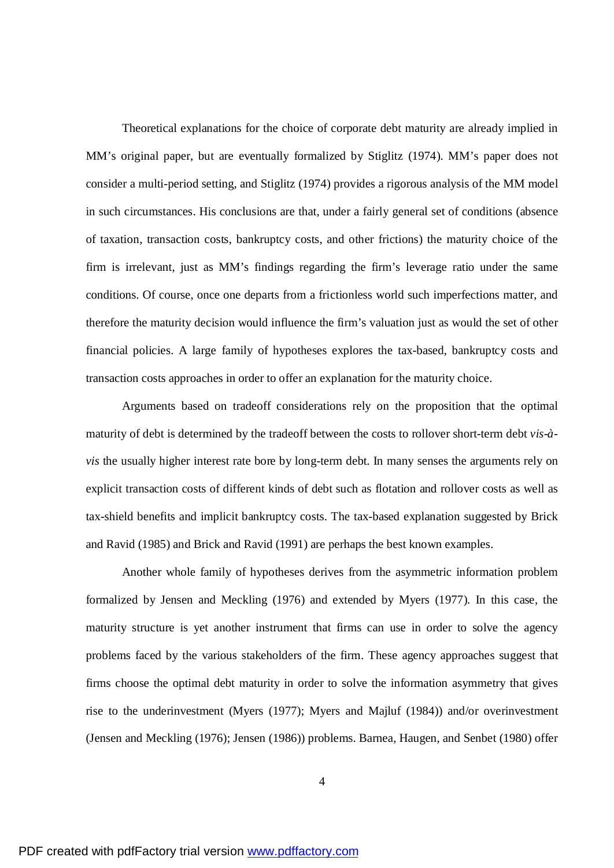Theoretical explanations for the choice of corporate debt maturity are already implied in MM's original paper, but are eventually formalized by Stiglitz (1974). MM's paper does not consider a multi-period setting, and Stiglitz (1974) provides a rigorous analysis of the MM model in such circumstances. His conclusions are that, under a fairly general set of conditions (absence of taxation, transaction costs, bankruptcy costs, and other frictions) the maturity choice of the firm is irrelevant, just as MM's findings regarding the firm's leverage ratio under the same conditions. Of course, once one departs from a frictionless world such imperfections matter, and therefore the maturity decision would influence the firm's valuation just as would the set of other financial policies. A large family of hypotheses explores the tax-based, bankruptcy costs and transaction costs approaches in order to offer an explanation for the maturity choice.

Arguments based on tradeoff considerations rely on the proposition that the optimal maturity of debt is determined by the tradeoff between the costs to rollover short-term debt *vis-àvis* the usually higher interest rate bore by long-term debt. In many senses the arguments rely on explicit transaction costs of different kinds of debt such as flotation and rollover costs as well as tax-shield benefits and implicit bankruptcy costs. The tax-based explanation suggested by Brick and Ravid (1985) and Brick and Ravid (1991) are perhaps the best known examples.

Another whole family of hypotheses derives from the asymmetric information problem formalized by Jensen and Meckling (1976) and extended by Myers (1977). In this case, the maturity structure is yet another instrument that firms can use in order to solve the agency problems faced by the various stakeholders of the firm. These agency approaches suggest that firms choose the optimal debt maturity in order to solve the information asymmetry that gives rise to the underinvestment (Myers (1977); Myers and Majluf (1984)) and/or overinvestment (Jensen and Meckling (1976); Jensen (1986)) problems. Barnea, Haugen, and Senbet (1980) offer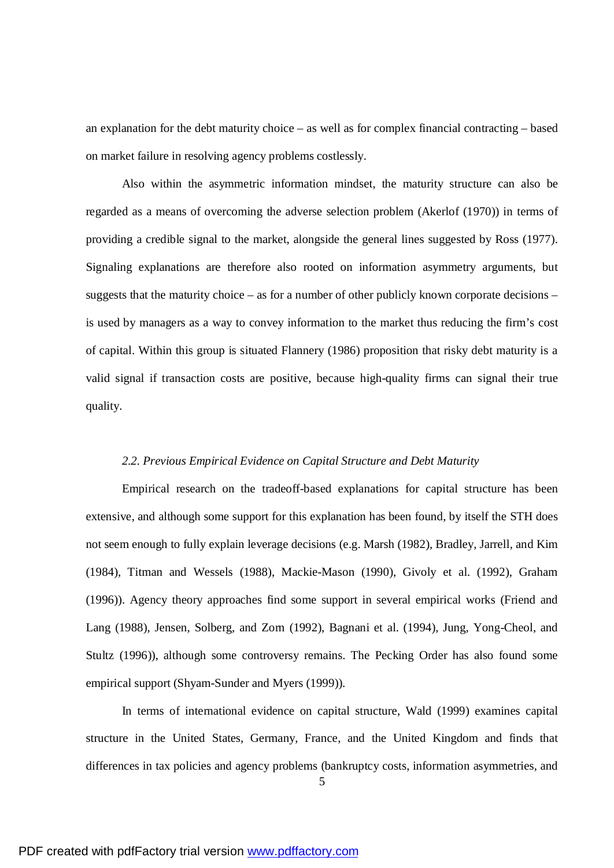an explanation for the debt maturity choice – as well as for complex financial contracting – based on market failure in resolving agency problems costlessly.

Also within the asymmetric information mindset, the maturity structure can also be regarded as a means of overcoming the adverse selection problem (Akerlof (1970)) in terms of providing a credible signal to the market, alongside the general lines suggested by Ross (1977). Signaling explanations are therefore also rooted on information asymmetry arguments, but suggests that the maturity choice – as for a number of other publicly known corporate decisions – is used by managers as a way to convey information to the market thus reducing the firm's cost of capital. Within this group is situated Flannery (1986) proposition that risky debt maturity is a valid signal if transaction costs are positive, because high-quality firms can signal their true quality.

#### *2.2. Previous Empirical Evidence on Capital Structure and Debt Maturity*

Empirical research on the tradeoff-based explanations for capital structure has been extensive, and although some support for this explanation has been found, by itself the STH does not seem enough to fully explain leverage decisions (e.g. Marsh (1982), Bradley, Jarrell, and Kim (1984), Titman and Wessels (1988), Mackie-Mason (1990), Givoly et al. (1992), Graham (1996)). Agency theory approaches find some support in several empirical works (Friend and Lang (1988), Jensen, Solberg, and Zorn (1992), Bagnani et al. (1994), Jung, Yong-Cheol, and Stultz (1996)), although some controversy remains. The Pecking Order has also found some empirical support (Shyam-Sunder and Myers (1999)).

In terms of international evidence on capital structure, Wald (1999) examines capital structure in the United States, Germany, France, and the United Kingdom and finds that differences in tax policies and agency problems (bankruptcy costs, information asymmetries, and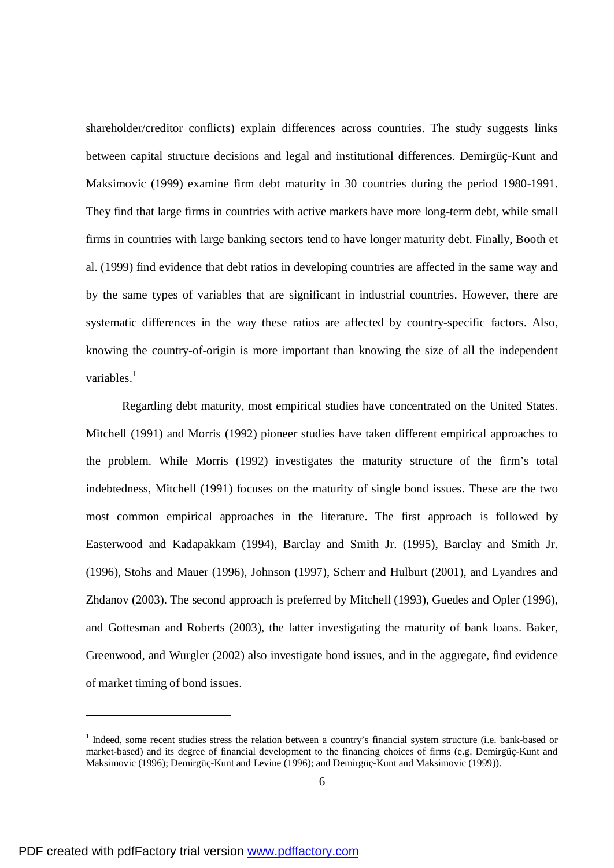shareholder/creditor conflicts) explain differences across countries. The study suggests links between capital structure decisions and legal and institutional differences. Demirgüç-Kunt and Maksimovic (1999) examine firm debt maturity in 30 countries during the period 1980-1991. They find that large firms in countries with active markets have more long-term debt, while small firms in countries with large banking sectors tend to have longer maturity debt. Finally, Booth et al. (1999) find evidence that debt ratios in developing countries are affected in the same way and by the same types of variables that are significant in industrial countries. However, there are systematic differences in the way these ratios are affected by country-specific factors. Also, knowing the country-of-origin is more important than knowing the size of all the independent variables.<sup>1</sup>

Regarding debt maturity, most empirical studies have concentrated on the United States. Mitchell (1991) and Morris (1992) pioneer studies have taken different empirical approaches to the problem. While Morris (1992) investigates the maturity structure of the firm's total indebtedness, Mitchell (1991) focuses on the maturity of single bond issues. These are the two most common empirical approaches in the literature. The first approach is followed by Easterwood and Kadapakkam (1994), Barclay and Smith Jr. (1995), Barclay and Smith Jr. (1996), Stohs and Mauer (1996), Johnson (1997), Scherr and Hulburt (2001), and Lyandres and Zhdanov (2003). The second approach is preferred by Mitchell (1993), Guedes and Opler (1996), and Gottesman and Roberts (2003), the latter investigating the maturity of bank loans. Baker, Greenwood, and Wurgler (2002) also investigate bond issues, and in the aggregate, find evidence of market timing of bond issues.

<sup>&</sup>lt;sup>1</sup> Indeed, some recent studies stress the relation between a country's financial system structure (i.e. bank-based or market-based) and its degree of financial development to the financing choices of firms (e.g. Demirgüç-Kunt and Maksimovic (1996); Demirgüç-Kunt and Levine (1996); and Demirgüç-Kunt and Maksimovic (1999)).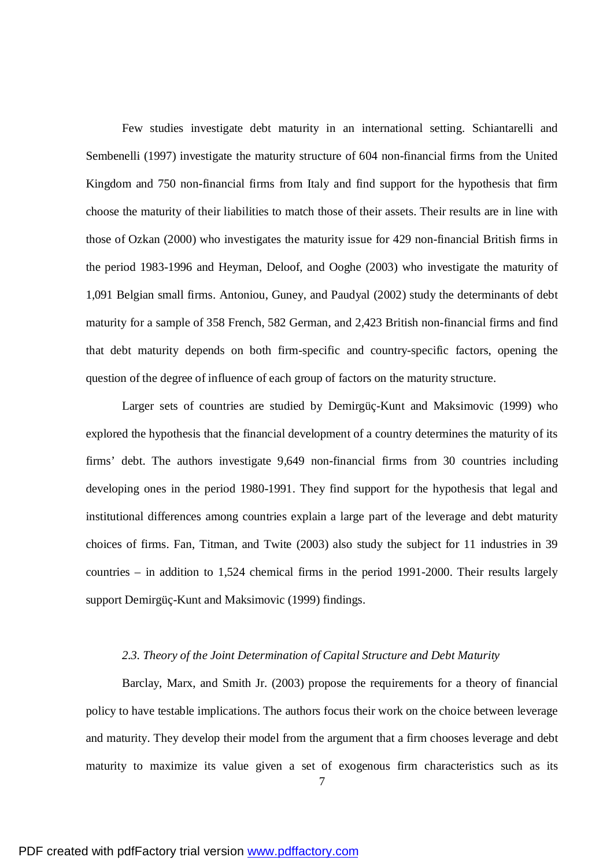Few studies investigate debt maturity in an international setting. Schiantarelli and Sembenelli (1997) investigate the maturity structure of 604 non-financial firms from the United Kingdom and 750 non-financial firms from Italy and find support for the hypothesis that firm choose the maturity of their liabilities to match those of their assets. Their results are in line with those of Ozkan (2000) who investigates the maturity issue for 429 non-financial British firms in the period 1983-1996 and Heyman, Deloof, and Ooghe (2003) who investigate the maturity of 1,091 Belgian small firms. Antoniou, Guney, and Paudyal (2002) study the determinants of debt maturity for a sample of 358 French, 582 German, and 2,423 British non-financial firms and find that debt maturity depends on both firm-specific and country-specific factors, opening the question of the degree of influence of each group of factors on the maturity structure.

Larger sets of countries are studied by Demirgüç-Kunt and Maksimovic (1999) who explored the hypothesis that the financial development of a country determines the maturity of its firms' debt. The authors investigate 9,649 non-financial firms from 30 countries including developing ones in the period 1980-1991. They find support for the hypothesis that legal and institutional differences among countries explain a large part of the leverage and debt maturity choices of firms. Fan, Titman, and Twite (2003) also study the subject for 11 industries in 39 countries – in addition to 1,524 chemical firms in the period 1991-2000. Their results largely support Demirgüç-Kunt and Maksimovic (1999) findings.

#### *2.3. Theory of the Joint Determination of Capital Structure and Debt Maturity*

Barclay, Marx, and Smith Jr. (2003) propose the requirements for a theory of financial policy to have testable implications. The authors focus their work on the choice between leverage and maturity. They develop their model from the argument that a firm chooses leverage and debt maturity to maximize its value given a set of exogenous firm characteristics such as its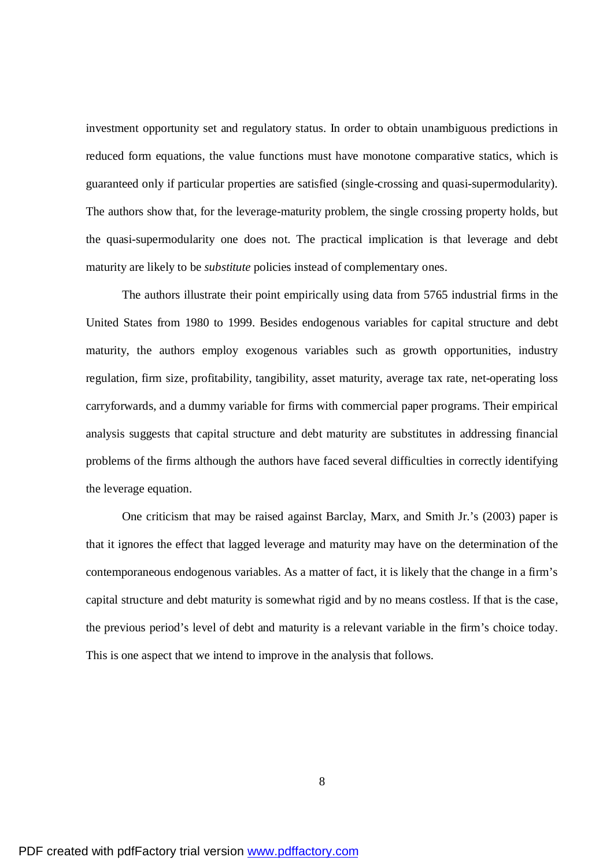investment opportunity set and regulatory status. In order to obtain unambiguous predictions in reduced form equations, the value functions must have monotone comparative statics, which is guaranteed only if particular properties are satisfied (single-crossing and quasi-supermodularity). The authors show that, for the leverage-maturity problem, the single crossing property holds, but the quasi-supermodularity one does not. The practical implication is that leverage and debt maturity are likely to be *substitute* policies instead of complementary ones.

The authors illustrate their point empirically using data from 5765 industrial firms in the United States from 1980 to 1999. Besides endogenous variables for capital structure and debt maturity, the authors employ exogenous variables such as growth opportunities, industry regulation, firm size, profitability, tangibility, asset maturity, average tax rate, net-operating loss carryforwards, and a dummy variable for firms with commercial paper programs. Their empirical analysis suggests that capital structure and debt maturity are substitutes in addressing financial problems of the firms although the authors have faced several difficulties in correctly identifying the leverage equation.

One criticism that may be raised against Barclay, Marx, and Smith Jr.'s (2003) paper is that it ignores the effect that lagged leverage and maturity may have on the determination of the contemporaneous endogenous variables. As a matter of fact, it is likely that the change in a firm's capital structure and debt maturity is somewhat rigid and by no means costless. If that is the case, the previous period's level of debt and maturity is a relevant variable in the firm's choice today. This is one aspect that we intend to improve in the analysis that follows.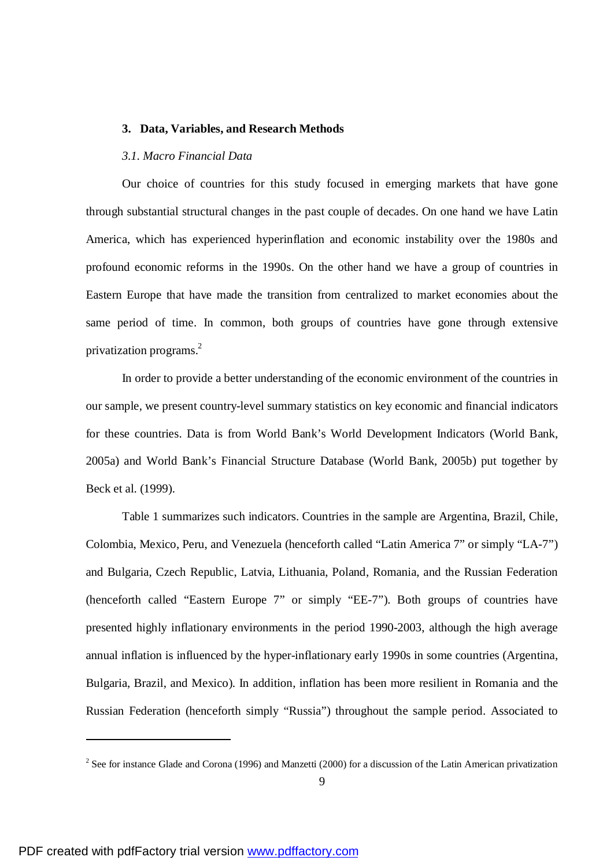#### **3. Data, Variables, and Research Methods**

### *3.1. Macro Financial Data*

Our choice of countries for this study focused in emerging markets that have gone through substantial structural changes in the past couple of decades. On one hand we have Latin America, which has experienced hyperinflation and economic instability over the 1980s and profound economic reforms in the 1990s. On the other hand we have a group of countries in Eastern Europe that have made the transition from centralized to market economies about the same period of time. In common, both groups of countries have gone through extensive privatization programs. 2

In order to provide a better understanding of the economic environment of the countries in our sample, we present country-level summary statistics on key economic and financial indicators for these countries. Data is from World Bank's World Development Indicators (World Bank, 2005a) and World Bank's Financial Structure Database (World Bank, 2005b) put together by Beck et al. (1999).

Table 1 summarizes such indicators. Countries in the sample are Argentina, Brazil, Chile, Colombia, Mexico, Peru, and Venezuela (henceforth called "Latin America 7" or simply "LA-7") and Bulgaria, Czech Republic, Latvia, Lithuania, Poland, Romania, and the Russian Federation (henceforth called "Eastern Europe 7" or simply "EE-7"). Both groups of countries have presented highly inflationary environments in the period 1990-2003, although the high average annual inflation is influenced by the hyper-inflationary early 1990s in some countries (Argentina, Bulgaria, Brazil, and Mexico). In addition, inflation has been more resilient in Romania and the Russian Federation (henceforth simply "Russia") throughout the sample period. Associated to

<sup>&</sup>lt;sup>2</sup> See for instance Glade and Corona (1996) and Manzetti (2000) for a discussion of the Latin American privatization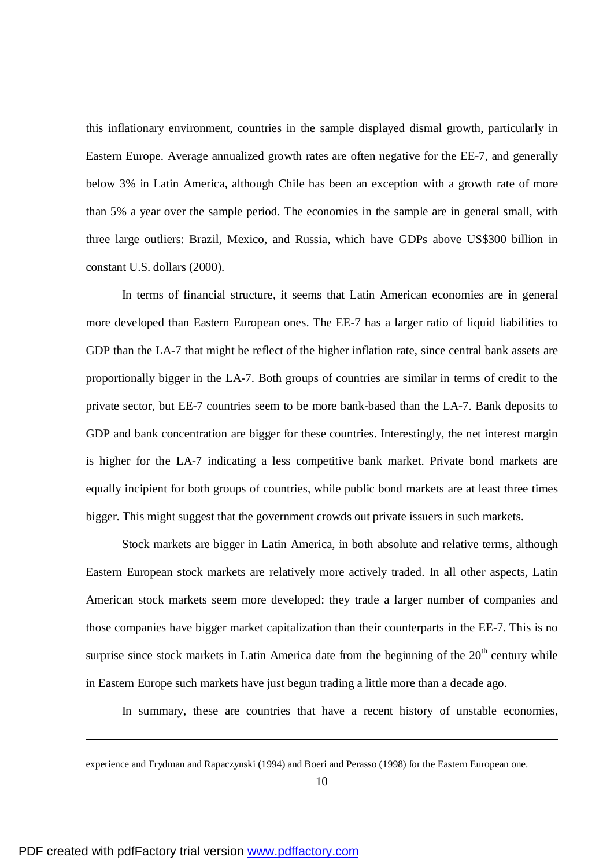this inflationary environment, countries in the sample displayed dismal growth, particularly in Eastern Europe. Average annualized growth rates are often negative for the EE-7, and generally below 3% in Latin America, although Chile has been an exception with a growth rate of more than 5% a year over the sample period. The economies in the sample are in general small, with three large outliers: Brazil, Mexico, and Russia, which have GDPs above US\$300 billion in constant U.S. dollars (2000).

In terms of financial structure, it seems that Latin American economies are in general more developed than Eastern European ones. The EE-7 has a larger ratio of liquid liabilities to GDP than the LA-7 that might be reflect of the higher inflation rate, since central bank assets are proportionally bigger in the LA-7. Both groups of countries are similar in terms of credit to the private sector, but EE-7 countries seem to be more bank-based than the LA-7. Bank deposits to GDP and bank concentration are bigger for these countries. Interestingly, the net interest margin is higher for the LA-7 indicating a less competitive bank market. Private bond markets are equally incipient for both groups of countries, while public bond markets are at least three times bigger. This might suggest that the government crowds out private issuers in such markets.

Stock markets are bigger in Latin America, in both absolute and relative terms, although Eastern European stock markets are relatively more actively traded. In all other aspects, Latin American stock markets seem more developed: they trade a larger number of companies and those companies have bigger market capitalization than their counterparts in the EE-7. This is no surprise since stock markets in Latin America date from the beginning of the  $20<sup>th</sup>$  century while in Eastern Europe such markets have just begun trading a little more than a decade ago.

In summary, these are countries that have a recent history of unstable economies,

experience and Frydman and Rapaczynski (1994) and Boeri and Perasso (1998) for the Eastern European one.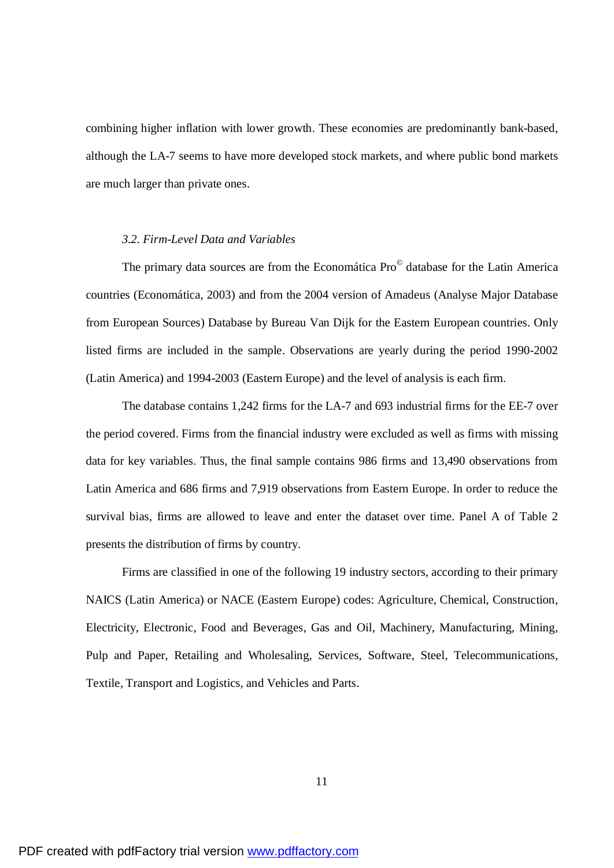combining higher inflation with lower growth. These economies are predominantly bank-based, although the LA-7 seems to have more developed stock markets, and where public bond markets are much larger than private ones.

#### *3.2. Firm-Level Data and Variables*

The primary data sources are from the Economática Pro<sup>©</sup> database for the Latin America countries (Economática, 2003) and from the 2004 version of Amadeus (Analyse Major Database from European Sources) Database by Bureau Van Dijk for the Eastern European countries. Only listed firms are included in the sample. Observations are yearly during the period 1990-2002 (Latin America) and 1994-2003 (Eastern Europe) and the level of analysis is each firm.

The database contains 1,242 firms for the LA-7 and 693 industrial firms for the EE-7 over the period covered. Firms from the financial industry were excluded as well as firms with missing data for key variables. Thus, the final sample contains 986 firms and 13,490 observations from Latin America and 686 firms and 7,919 observations from Eastern Europe. In order to reduce the survival bias, firms are allowed to leave and enter the dataset over time. Panel A of Table 2 presents the distribution of firms by country.

Firms are classified in one of the following 19 industry sectors, according to their primary NAICS (Latin America) or NACE (Eastern Europe) codes: Agriculture, Chemical, Construction, Electricity, Electronic, Food and Beverages, Gas and Oil, Machinery, Manufacturing, Mining, Pulp and Paper, Retailing and Wholesaling, Services, Software, Steel, Telecommunications, Textile, Transport and Logistics, and Vehicles and Parts.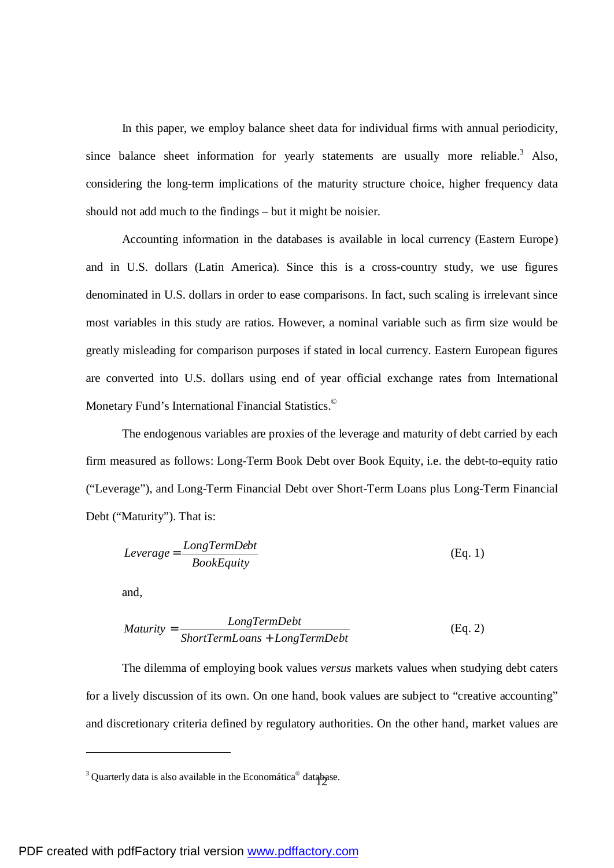In this paper, we employ balance sheet data for individual firms with annual periodicity, since balance sheet information for yearly statements are usually more reliable.<sup>3</sup> Also, considering the long-term implications of the maturity structure choice, higher frequency data should not add much to the findings – but it might be noisier.

Accounting information in the databases is available in local currency (Eastern Europe) and in U.S. dollars (Latin America). Since this is a cross-country study, we use figures denominated in U.S. dollars in order to ease comparisons. In fact, such scaling is irrelevant since most variables in this study are ratios. However, a nominal variable such as firm size would be greatly misleading for comparison purposes if stated in local currency. Eastern European figures are converted into U.S. dollars using end of year official exchange rates from International Monetary Fund's International Financial Statistics. ©

The endogenous variables are proxies of the leverage and maturity of debt carried by each firm measured as follows: Long-Term Book Debt over Book Equity, i.e. the debt-to-equity ratio ("Leverage"), and Long-Term Financial Debt over Short-Term Loans plus Long-Term Financial Debt ("Maturity"). That is:

$$
Leverage = \frac{LongTermDebt}{BookEquity}
$$
 (Eq. 1)

and,

$$
Maturity = \frac{LongTermDebt}{ShortTermLoans + LongTermDebt}
$$
 (Eq. 2)

The dilemma of employing book values *versus* markets values when studying debt caters for a lively discussion of its own. On one hand, book values are subject to "creative accounting" and discretionary criteria defined by regulatory authorities. On the other hand, market values are

<sup>&</sup>lt;sup>3</sup> Quarterly data is also available in the Economática<sup>®</sup> database.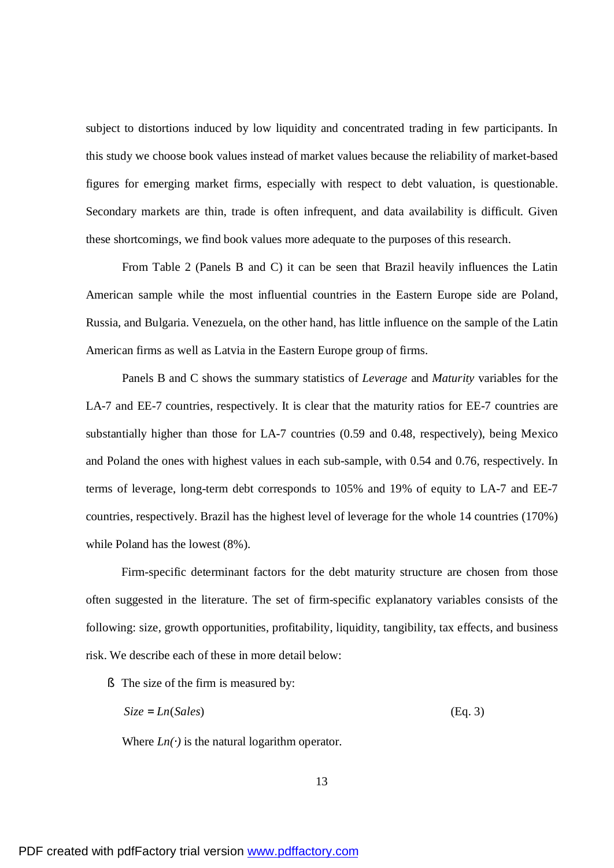subject to distortions induced by low liquidity and concentrated trading in few participants. In this study we choose book values instead of market values because the reliability of market-based figures for emerging market firms, especially with respect to debt valuation, is questionable. Secondary markets are thin, trade is often infrequent, and data availability is difficult. Given these shortcomings, we find book values more adequate to the purposes of this research.

From Table 2 (Panels B and C) it can be seen that Brazil heavily influences the Latin American sample while the most influential countries in the Eastern Europe side are Poland, Russia, and Bulgaria. Venezuela, on the other hand, has little influence on the sample of the Latin American firms as well as Latvia in the Eastern Europe group of firms.

Panels B and C shows the summary statistics of *Leverage* and *Maturity* variables for the LA-7 and EE-7 countries, respectively. It is clear that the maturity ratios for EE-7 countries are substantially higher than those for LA-7 countries (0.59 and 0.48, respectively), being Mexico and Poland the ones with highest values in each sub-sample, with 0.54 and 0.76, respectively. In terms of leverage, long-term debt corresponds to 105% and 19% of equity to LA-7 and EE-7 countries, respectively. Brazil has the highest level of leverage for the whole 14 countries (170%) while Poland has the lowest (8%).

Firm-specific determinant factors for the debt maturity structure are chosen from those often suggested in the literature. The set of firm-specific explanatory variables consists of the following: size, growth opportunities, profitability, liquidity, tangibility, tax effects, and business risk. We describe each of these in more detail below:

§ The size of the firm is measured by:

$$
Size = Ln(Sales)
$$
 (Eq. 3)

Where  $Ln(\gamma)$  is the natural logarithm operator.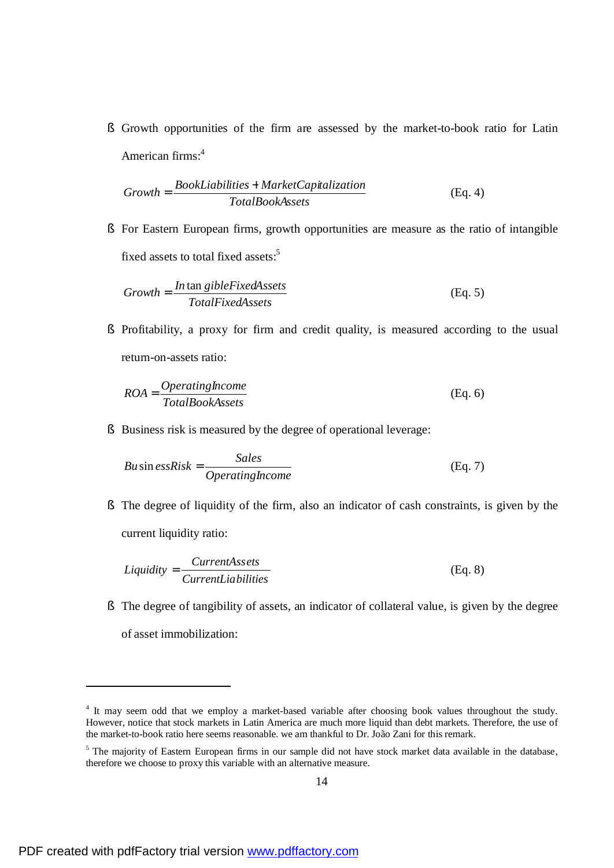§ Growth opportunities of the firm are assessed by the market-to-book ratio for Latin American firms:<sup>4</sup>

$$
Growth = \frac{BookLiabilities + MarketCapitalization}{TotalBookAssets}
$$
 (Eq. 4)

§ For Eastern European firms, growth opportunities are measure as the ratio of intangible fixed assets to total fixed assets:<sup>5</sup>

$$
Growth = \frac{In \tan\text{gibleFixedAssets}}{TotalFixedAssets}
$$
 (Eq. 5)

§ Profitability, a proxy for firm and credit quality, is measured according to the usual return-on-assets ratio:

$$
ROA = \frac{Operatinghcome}{TotalBookAssets}
$$
 (Eq. 6)

§ Business risk is measured by the degree of operational leverage:

$$
Bu\sin e s sRisk = \frac{Sales}{Operatinghcome}
$$
 (Eq. 7)

§ The degree of liquidity of the firm, also an indicator of cash constraints, is given by the current liquidity ratio:

$$
Liquidity = \frac{CurrentAssets}{CurrentLiabilities}
$$
 (Eq. 8)

§ The degree of tangibility of assets, an indicator of collateral value, is given by the degree of asset immobilization:

<sup>&</sup>lt;sup>4</sup> It may seem odd that we employ a market-based variable after choosing book values throughout the study. However, notice that stock markets in Latin America are much more liquid than debt markets. Therefore, the use of the market-to-book ratio here seems reasonable. we am thankful to Dr. João Zani for this remark.

<sup>&</sup>lt;sup>5</sup> The majority of Eastern European firms in our sample did not have stock market data available in the database, therefore we choose to proxy this variable with an alternative measure.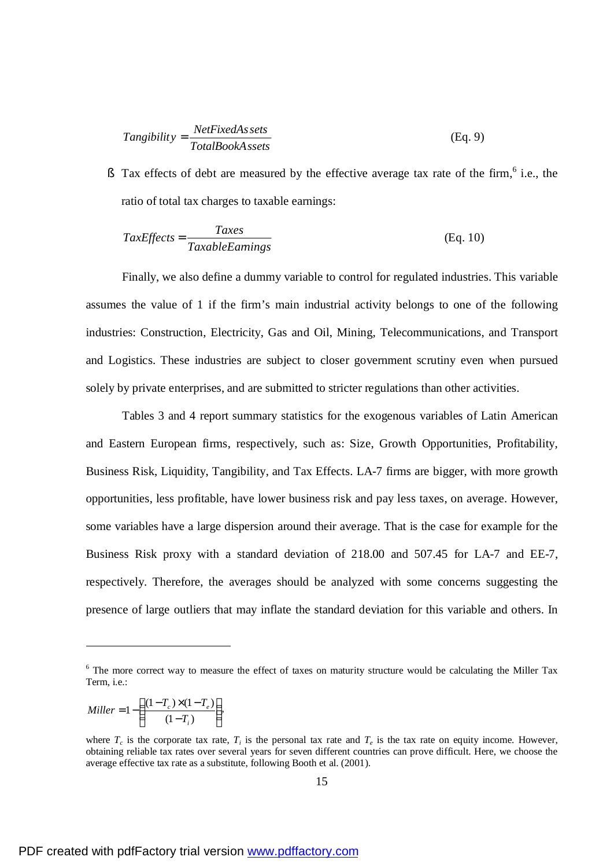$$
Tangibility = \frac{NetFixedAs sets}{TotalBookAs sets}
$$
 (Eq. 9)

§ Tax effects of debt are measured by the effective average tax rate of the firm, $6$  i.e., the ratio of total tax charges to taxable earnings:

$$
TaxEffects = \frac{Taxes}{TaxableEamings}
$$
 (Eq. 10)

Finally, we also define a dummy variable to control for regulated industries. This variable assumes the value of 1 if the firm's main industrial activity belongs to one of the following industries: Construction, Electricity, Gas and Oil, Mining, Telecommunications, and Transport and Logistics. These industries are subject to closer government scrutiny even when pursued solely by private enterprises, and are submitted to stricter regulations than other activities.

Tables 3 and 4 report summary statistics for the exogenous variables of Latin American and Eastern European firms, respectively, such as: Size, Growth Opportunities, Profitability, Business Risk, Liquidity, Tangibility, and Tax Effects. LA-7 firms are bigger, with more growth opportunities, less profitable, have lower business risk and pay less taxes, on average. However, some variables have a large dispersion around their average. That is the case for example for the Business Risk proxy with a standard deviation of 218.00 and 507.45 for LA-7 and EE-7, respectively. Therefore, the averages should be analyzed with some concerns suggesting the presence of large outliers that may inflate the standard deviation for this variable and others. In

$$
Miller = 1 - \left(\frac{(1 - T_c) \times (1 - T_e)}{(1 - T_i)}\right),
$$

l

<sup>&</sup>lt;sup>6</sup> The more correct way to measure the effect of taxes on maturity structure would be calculating the Miller Tax Term, i.e.:

where  $T_c$  is the corporate tax rate,  $T_i$  is the personal tax rate and  $T_e$  is the tax rate on equity income. However, obtaining reliable tax rates over several years for seven different countries can prove difficult. Here, we choose the average effective tax rate as a substitute, following Booth et al. (2001).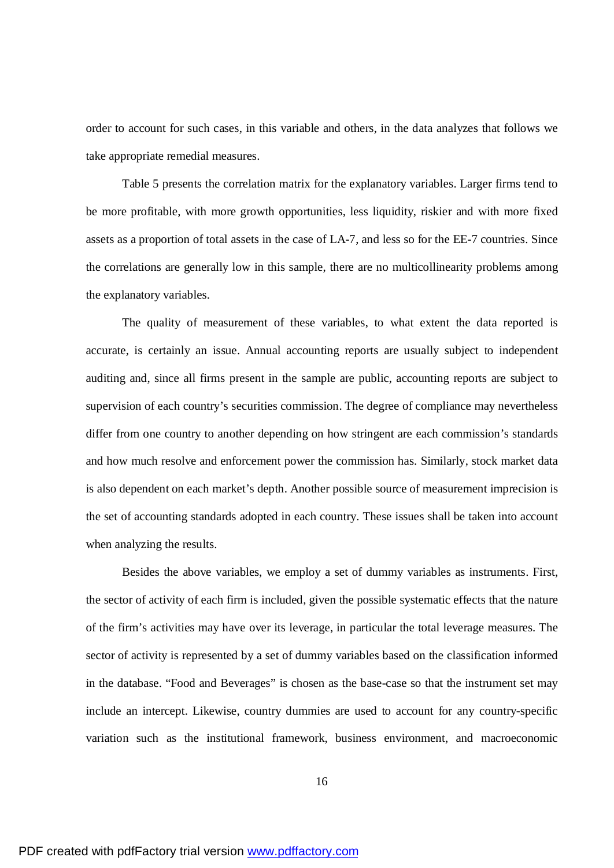order to account for such cases, in this variable and others, in the data analyzes that follows we take appropriate remedial measures.

Table 5 presents the correlation matrix for the explanatory variables. Larger firms tend to be more profitable, with more growth opportunities, less liquidity, riskier and with more fixed assets as a proportion of total assets in the case of LA-7, and less so for the EE-7 countries. Since the correlations are generally low in this sample, there are no multicollinearity problems among the explanatory variables.

The quality of measurement of these variables, to what extent the data reported is accurate, is certainly an issue. Annual accounting reports are usually subject to independent auditing and, since all firms present in the sample are public, accounting reports are subject to supervision of each country's securities commission. The degree of compliance may nevertheless differ from one country to another depending on how stringent are each commission's standards and how much resolve and enforcement power the commission has. Similarly, stock market data is also dependent on each market's depth. Another possible source of measurement imprecision is the set of accounting standards adopted in each country. These issues shall be taken into account when analyzing the results.

Besides the above variables, we employ a set of dummy variables as instruments. First, the sector of activity of each firm is included, given the possible systematic effects that the nature of the firm's activities may have over its leverage, in particular the total leverage measures. The sector of activity is represented by a set of dummy variables based on the classification informed in the database. "Food and Beverages" is chosen as the base-case so that the instrument set may include an intercept. Likewise, country dummies are used to account for any country-specific variation such as the institutional framework, business environment, and macroeconomic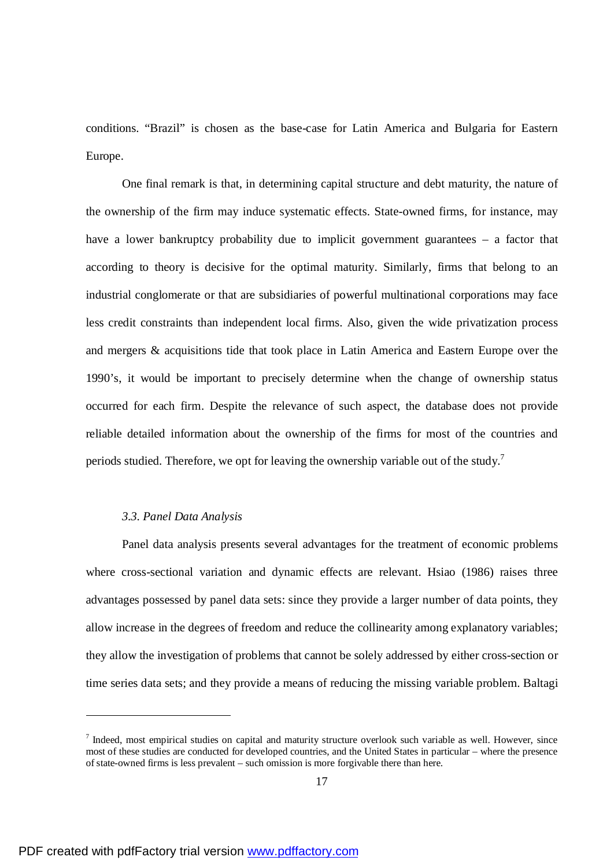conditions. "Brazil" is chosen as the base-case for Latin America and Bulgaria for Eastern Europe.

One final remark is that, in determining capital structure and debt maturity, the nature of the ownership of the firm may induce systematic effects. State-owned firms, for instance, may have a lower bankruptcy probability due to implicit government guarantees – a factor that according to theory is decisive for the optimal maturity. Similarly, firms that belong to an industrial conglomerate or that are subsidiaries of powerful multinational corporations may face less credit constraints than independent local firms. Also, given the wide privatization process and mergers & acquisitions tide that took place in Latin America and Eastern Europe over the 1990's, it would be important to precisely determine when the change of ownership status occurred for each firm. Despite the relevance of such aspect, the database does not provide reliable detailed information about the ownership of the firms for most of the countries and periods studied. Therefore, we opt for leaving the ownership variable out of the study.<sup>7</sup>

## *3.3. Panel Data Analysis*

Panel data analysis presents several advantages for the treatment of economic problems where cross-sectional variation and dynamic effects are relevant. Hsiao (1986) raises three advantages possessed by panel data sets: since they provide a larger number of data points, they allow increase in the degrees of freedom and reduce the collinearity among explanatory variables; they allow the investigation of problems that cannot be solely addressed by either cross-section or time series data sets; and they provide a means of reducing the missing variable problem. Baltagi

 $<sup>7</sup>$  Indeed, most empirical studies on capital and maturity structure overlook such variable as well. However, since</sup> most of these studies are conducted for developed countries, and the United States in particular – where the presence of state-owned firms is less prevalent – such omission is more forgivable there than here.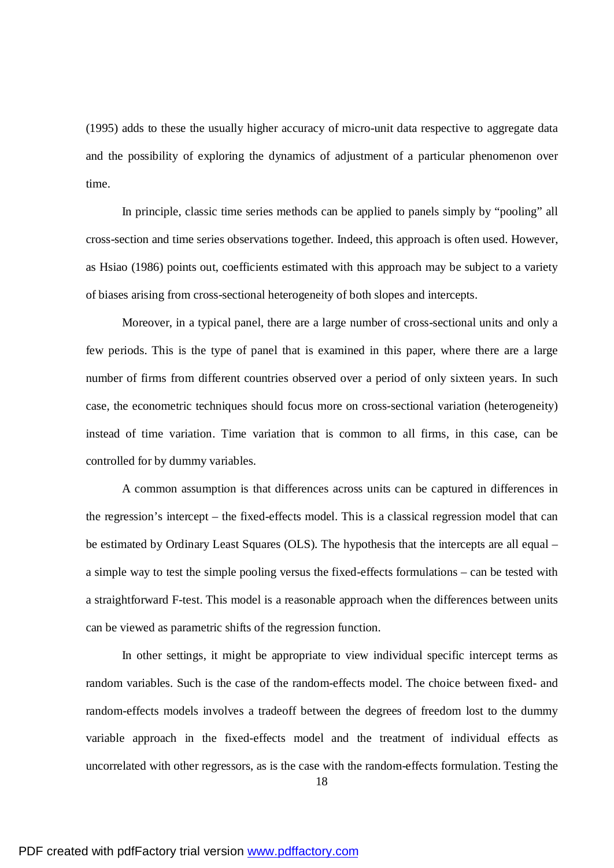(1995) adds to these the usually higher accuracy of micro-unit data respective to aggregate data and the possibility of exploring the dynamics of adjustment of a particular phenomenon over time.

In principle, classic time series methods can be applied to panels simply by "pooling" all cross-section and time series observations together. Indeed, this approach is often used. However, as Hsiao (1986) points out, coefficients estimated with this approach may be subject to a variety of biases arising from cross-sectional heterogeneity of both slopes and intercepts.

Moreover, in a typical panel, there are a large number of cross-sectional units and only a few periods. This is the type of panel that is examined in this paper, where there are a large number of firms from different countries observed over a period of only sixteen years. In such case, the econometric techniques should focus more on cross-sectional variation (heterogeneity) instead of time variation. Time variation that is common to all firms, in this case, can be controlled for by dummy variables.

A common assumption is that differences across units can be captured in differences in the regression's intercept – the fixed-effects model. This is a classical regression model that can be estimated by Ordinary Least Squares (OLS). The hypothesis that the intercepts are all equal – a simple way to test the simple pooling versus the fixed-effects formulations – can be tested with a straightforward F-test. This model is a reasonable approach when the differences between units can be viewed as parametric shifts of the regression function.

In other settings, it might be appropriate to view individual specific intercept terms as random variables. Such is the case of the random-effects model. The choice between fixed- and random-effects models involves a tradeoff between the degrees of freedom lost to the dummy variable approach in the fixed-effects model and the treatment of individual effects as uncorrelated with other regressors, as is the case with the random-effects formulation. Testing the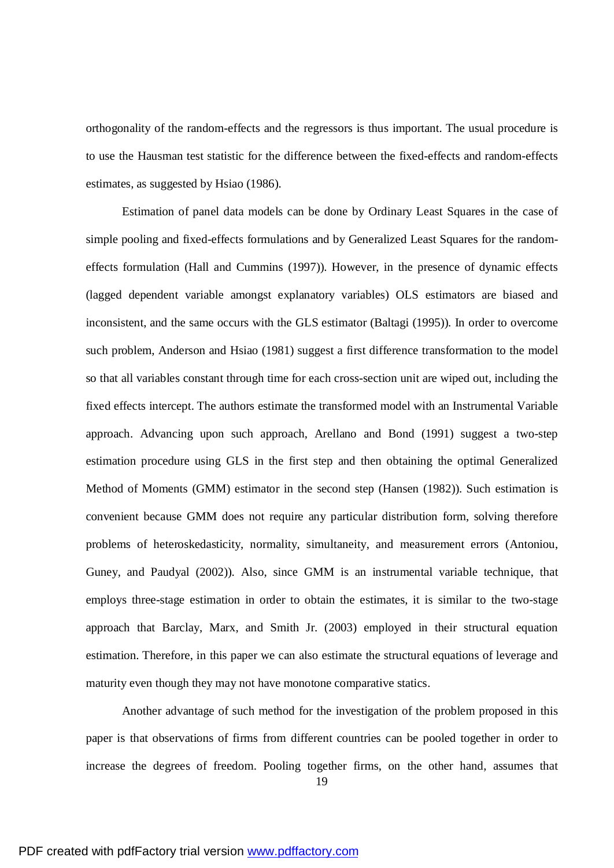orthogonality of the random-effects and the regressors is thus important. The usual procedure is to use the Hausman test statistic for the difference between the fixed-effects and random-effects estimates, as suggested by Hsiao (1986).

Estimation of panel data models can be done by Ordinary Least Squares in the case of simple pooling and fixed-effects formulations and by Generalized Least Squares for the randomeffects formulation (Hall and Cummins (1997)). However, in the presence of dynamic effects (lagged dependent variable amongst explanatory variables) OLS estimators are biased and inconsistent, and the same occurs with the GLS estimator (Baltagi (1995)). In order to overcome such problem, Anderson and Hsiao (1981) suggest a first difference transformation to the model so that all variables constant through time for each cross-section unit are wiped out, including the fixed effects intercept. The authors estimate the transformed model with an Instrumental Variable approach. Advancing upon such approach, Arellano and Bond (1991) suggest a two-step estimation procedure using GLS in the first step and then obtaining the optimal Generalized Method of Moments (GMM) estimator in the second step (Hansen (1982)). Such estimation is convenient because GMM does not require any particular distribution form, solving therefore problems of heteroskedasticity, normality, simultaneity, and measurement errors (Antoniou, Guney, and Paudyal (2002)). Also, since GMM is an instrumental variable technique, that employs three-stage estimation in order to obtain the estimates, it is similar to the two-stage approach that Barclay, Marx, and Smith Jr. (2003) employed in their structural equation estimation. Therefore, in this paper we can also estimate the structural equations of leverage and maturity even though they may not have monotone comparative statics.

Another advantage of such method for the investigation of the problem proposed in this paper is that observations of firms from different countries can be pooled together in order to increase the degrees of freedom. Pooling together firms, on the other hand, assumes that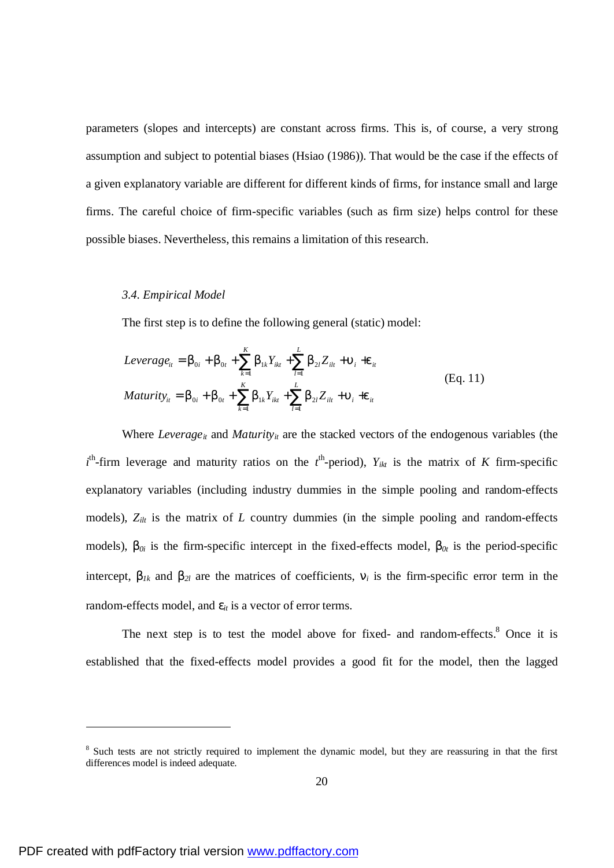parameters (slopes and intercepts) are constant across firms. This is, of course, a very strong assumption and subject to potential biases (Hsiao (1986)). That would be the case if the effects of a given explanatory variable are different for different kinds of firms, for instance small and large firms. The careful choice of firm-specific variables (such as firm size) helps control for these possible biases. Nevertheless, this remains a limitation of this research.

### *3.4. Empirical Model*

The first step is to define the following general (static) model:

$$
Leverage_{it} = b_{0i} + b_{0t} + \sum_{k=1}^{K} b_{1k} Y_{ikt} + \sum_{l=1}^{L} b_{2l} Z_{ilt} + u_i + e_{it}
$$
  
\n
$$
Maturity_{it} = b_{0i} + b_{0t} + \sum_{k=1}^{K} b_{1k} Y_{ikt} + \sum_{l=1}^{L} b_{2l} Z_{ilt} + u_i + e_{it}
$$
 (Eq. 11)

Where *Leverage*<sup>*it*</sup> and *Maturity*<sup>*it*</sup> are the stacked vectors of the endogenous variables (the  $t^{\text{th}}$ -firm leverage and maturity ratios on the  $t^{\text{th}}$ -period),  $Y_{ikt}$  is the matrix of *K* firm-specific explanatory variables (including industry dummies in the simple pooling and random-effects models),  $Z_{ilt}$  is the matrix of *L* country dummies (in the simple pooling and random-effects models),  $b_{0i}$  is the firm-specific intercept in the fixed-effects model,  $b_{0t}$  is the period-specific intercept,  $b_{1k}$  and  $b_{2l}$  are the matrices of coefficients,  $n_i$  is the firm-specific error term in the random-effects model, and  $e_i$  is a vector of error terms.

The next step is to test the model above for fixed- and random-effects.<sup>8</sup> Once it is established that the fixed-effects model provides a good fit for the model, then the lagged

l

<sup>&</sup>lt;sup>8</sup> Such tests are not strictly required to implement the dynamic model, but they are reassuring in that the first differences model is indeed adequate.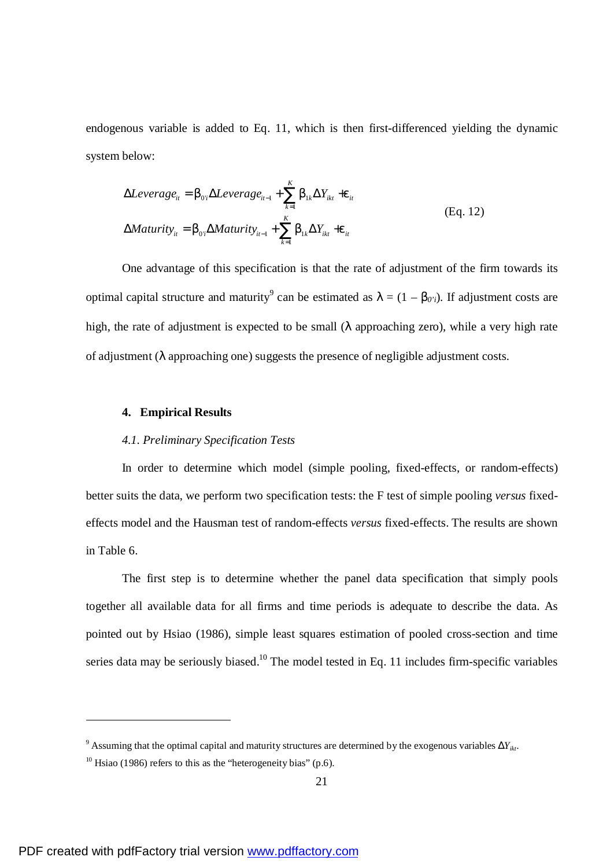endogenous variable is added to Eq. 11, which is then first-differenced yielding the dynamic system below:

$$
\Delta Leverage_{ii} = b_{0i} \Delta Leverage_{ii-1} + \sum_{k=1}^{K} b_{1k} \Delta Y_{ikt} + e_{it}
$$
  
\n
$$
\Delta Maturity_{ii} = b_{0i} \Delta Maturity_{ii-1} + \sum_{k=1}^{K} b_{1k} \Delta Y_{ikt} + e_{it}
$$
 (Eq. 12)

One advantage of this specification is that the rate of adjustment of the firm towards its optimal capital structure and maturity<sup>9</sup> can be estimated as  $I = (1 - b_{0'i})$ . If adjustment costs are high, the rate of adjustment is expected to be small (*l* approaching zero), while a very high rate of adjustment (*l* approaching one) suggests the presence of negligible adjustment costs.

### **4. Empirical Results**

### *4.1. Preliminary Specification Tests*

In order to determine which model (simple pooling, fixed-effects, or random-effects) better suits the data, we perform two specification tests: the F test of simple pooling *versus* fixedeffects model and the Hausman test of random-effects *versus* fixed-effects. The results are shown in Table 6.

The first step is to determine whether the panel data specification that simply pools together all available data for all firms and time periods is adequate to describe the data. As pointed out by Hsiao (1986), simple least squares estimation of pooled cross-section and time series data may be seriously biased.<sup>10</sup> The model tested in Eq. 11 includes firm-specific variables

<sup>&</sup>lt;sup>9</sup> Assuming that the optimal capital and maturity structures are determined by the exogenous variables  $\Delta Y_{ikt}$ .

 $10$  Hsiao (1986) refers to this as the "heterogeneity bias" (p.6).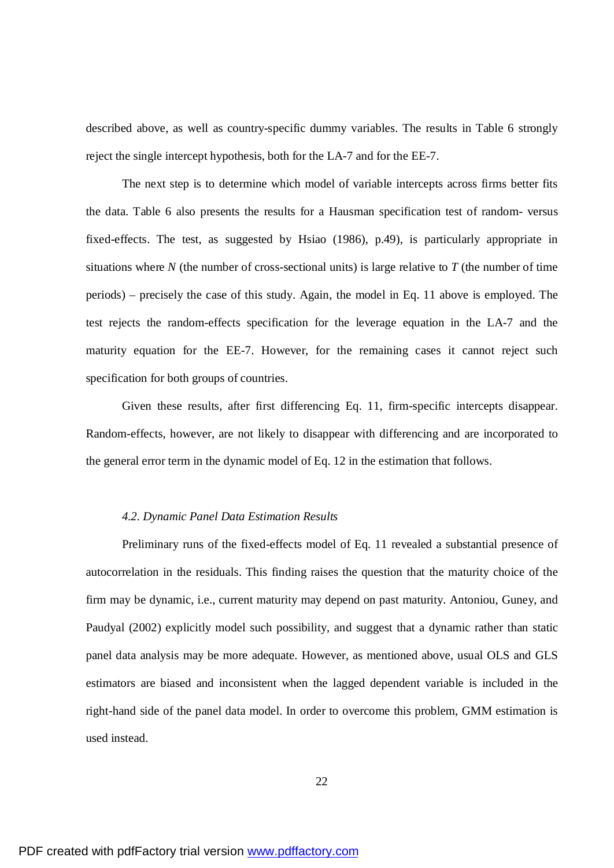described above, as well as country-specific dummy variables. The results in Table 6 strongly reject the single intercept hypothesis, both for the LA-7 and for the EE-7.

The next step is to determine which model of variable intercepts across firms better fits the data. Table 6 also presents the results for a Hausman specification test of random- versus fixed-effects. The test, as suggested by Hsiao (1986), p.49), is particularly appropriate in situations where  $N$  (the number of cross-sectional units) is large relative to  $T$  (the number of time periods) – precisely the case of this study. Again, the model in Eq. 11 above is employed. The test rejects the random-effects specification for the leverage equation in the LA-7 and the maturity equation for the EE-7. However, for the remaining cases it cannot reject such specification for both groups of countries.

Given these results, after first differencing Eq. 11, firm-specific intercepts disappear. Random-effects, however, are not likely to disappear with differencing and are incorporated to the general error term in the dynamic model of Eq. 12 in the estimation that follows.

### *4.2. Dynamic Panel Data Estimation Results*

Preliminary runs of the fixed-effects model of Eq. 11 revealed a substantial presence of autocorrelation in the residuals. This finding raises the question that the maturity choice of the firm may be dynamic, i.e., current maturity may depend on past maturity. Antoniou, Guney, and Paudyal (2002) explicitly model such possibility, and suggest that a dynamic rather than static panel data analysis may be more adequate. However, as mentioned above, usual OLS and GLS estimators are biased and inconsistent when the lagged dependent variable is included in the right-hand side of the panel data model. In order to overcome this problem, GMM estimation is used instead.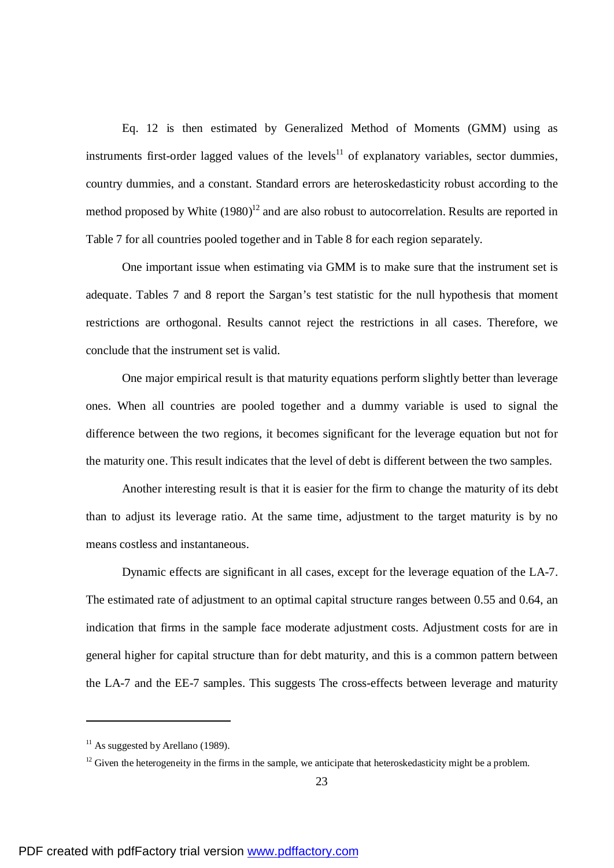Eq. 12 is then estimated by Generalized Method of Moments (GMM) using as instruments first-order lagged values of the levels $11$  of explanatory variables, sector dummies, country dummies, and a constant. Standard errors are heteroskedasticity robust according to the method proposed by White  $(1980)^{12}$  and are also robust to autocorrelation. Results are reported in Table 7 for all countries pooled together and in Table 8 for each region separately.

One important issue when estimating via GMM is to make sure that the instrument set is adequate. Tables 7 and 8 report the Sargan's test statistic for the null hypothesis that moment restrictions are orthogonal. Results cannot reject the restrictions in all cases. Therefore, we conclude that the instrument set is valid.

One major empirical result is that maturity equations perform slightly better than leverage ones. When all countries are pooled together and a dummy variable is used to signal the difference between the two regions, it becomes significant for the leverage equation but not for the maturity one. This result indicates that the level of debt is different between the two samples.

Another interesting result is that it is easier for the firm to change the maturity of its debt than to adjust its leverage ratio. At the same time, adjustment to the target maturity is by no means costless and instantaneous.

Dynamic effects are significant in all cases, except for the leverage equation of the LA-7. The estimated rate of adjustment to an optimal capital structure ranges between 0.55 and 0.64, an indication that firms in the sample face moderate adjustment costs. Adjustment costs for are in general higher for capital structure than for debt maturity, and this is a common pattern between the LA-7 and the EE-7 samples. This suggests The cross-effects between leverage and maturity

 $11$  As suggested by Arellano (1989).

 $12$  Given the heterogeneity in the firms in the sample, we anticipate that heteroskedasticity might be a problem.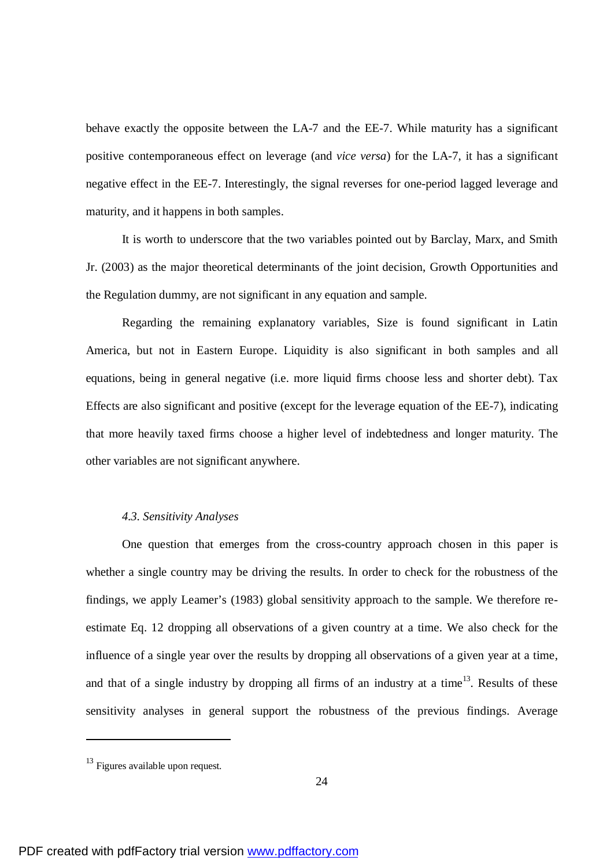behave exactly the opposite between the LA-7 and the EE-7. While maturity has a significant positive contemporaneous effect on leverage (and *vice versa*) for the LA-7, it has a significant negative effect in the EE-7. Interestingly, the signal reverses for one-period lagged leverage and maturity, and it happens in both samples.

It is worth to underscore that the two variables pointed out by Barclay, Marx, and Smith Jr. (2003) as the major theoretical determinants of the joint decision, Growth Opportunities and the Regulation dummy, are not significant in any equation and sample.

Regarding the remaining explanatory variables, Size is found significant in Latin America, but not in Eastern Europe. Liquidity is also significant in both samples and all equations, being in general negative (i.e. more liquid firms choose less and shorter debt). Tax Effects are also significant and positive (except for the leverage equation of the EE-7), indicating that more heavily taxed firms choose a higher level of indebtedness and longer maturity. The other variables are not significant anywhere.

### *4.3. Sensitivity Analyses*

One question that emerges from the cross-country approach chosen in this paper is whether a single country may be driving the results. In order to check for the robustness of the findings, we apply Leamer's (1983) global sensitivity approach to the sample. We therefore reestimate Eq. 12 dropping all observations of a given country at a time. We also check for the influence of a single year over the results by dropping all observations of a given year at a time, and that of a single industry by dropping all firms of an industry at a time<sup>13</sup>. Results of these sensitivity analyses in general support the robustness of the previous findings. Average

<sup>13</sup> Figures available upon request.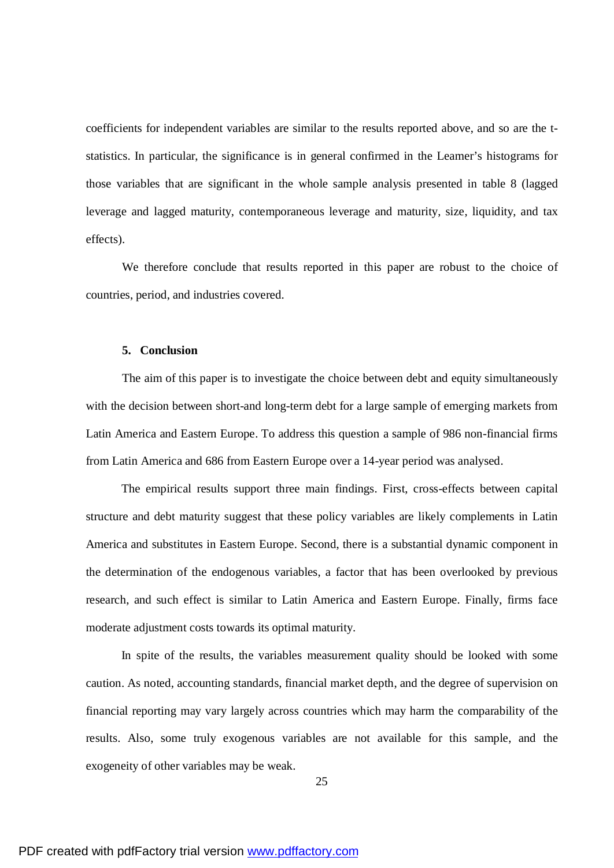coefficients for independent variables are similar to the results reported above, and so are the tstatistics. In particular, the significance is in general confirmed in the Leamer's histograms for those variables that are significant in the whole sample analysis presented in table 8 (lagged leverage and lagged maturity, contemporaneous leverage and maturity, size, liquidity, and tax effects).

We therefore conclude that results reported in this paper are robust to the choice of countries, period, and industries covered.

#### **5. Conclusion**

The aim of this paper is to investigate the choice between debt and equity simultaneously with the decision between short-and long-term debt for a large sample of emerging markets from Latin America and Eastern Europe. To address this question a sample of 986 non-financial firms from Latin America and 686 from Eastern Europe over a 14-year period was analysed.

The empirical results support three main findings. First, cross-effects between capital structure and debt maturity suggest that these policy variables are likely complements in Latin America and substitutes in Eastern Europe. Second, there is a substantial dynamic component in the determination of the endogenous variables, a factor that has been overlooked by previous research, and such effect is similar to Latin America and Eastern Europe. Finally, firms face moderate adjustment costs towards its optimal maturity.

In spite of the results, the variables measurement quality should be looked with some caution. As noted, accounting standards, financial market depth, and the degree of supervision on financial reporting may vary largely across countries which may harm the comparability of the results. Also, some truly exogenous variables are not available for this sample, and the exogeneity of other variables may be weak.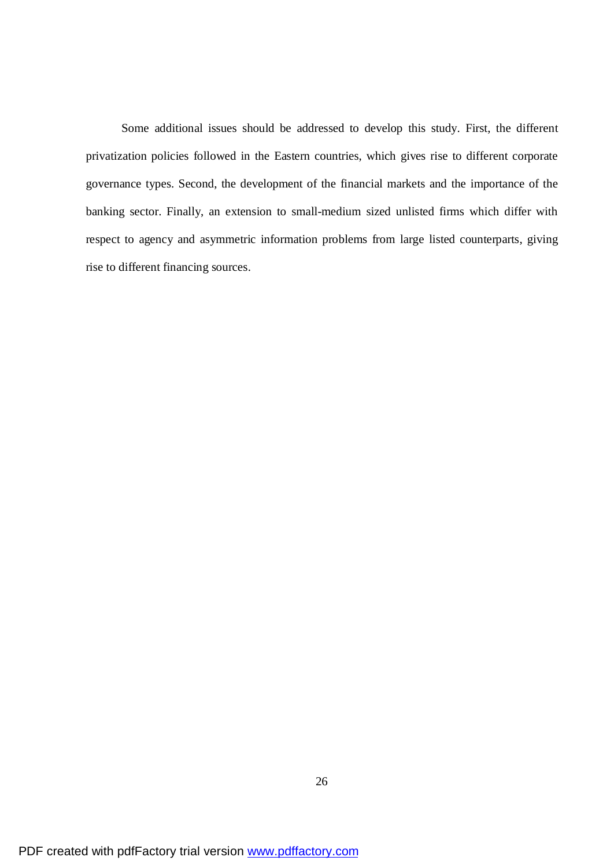Some additional issues should be addressed to develop this study. First, the different privatization policies followed in the Eastern countries, which gives rise to different corporate governance types. Second, the development of the financial markets and the importance of the banking sector. Finally, an extension to small-medium sized unlisted firms which differ with respect to agency and asymmetric information problems from large listed counterparts, giving rise to different financing sources.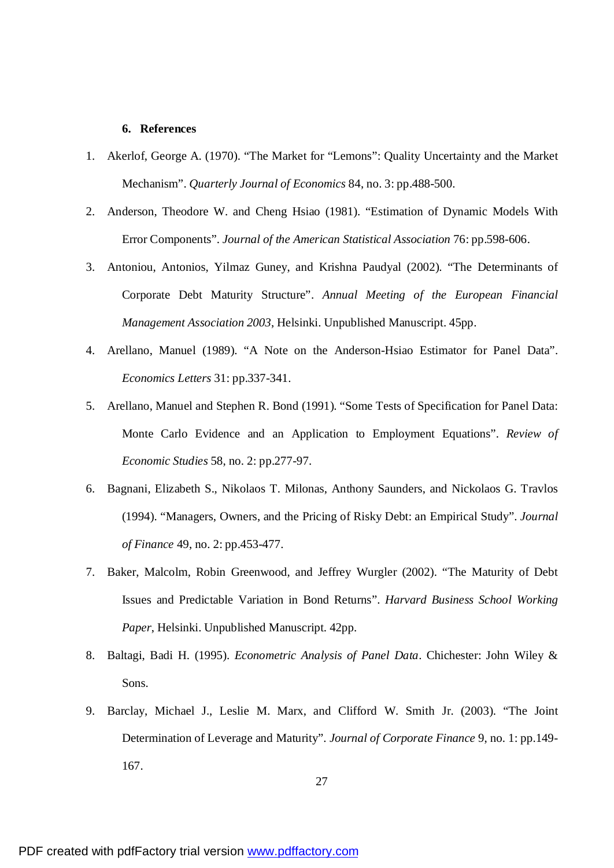### **6. References**

- 1. Akerlof, George A. (1970). "The Market for "Lemons": Quality Uncertainty and the Market Mechanism". *Quarterly Journal of Economics* 84, no. 3: pp.488-500.
- 2. Anderson, Theodore W. and Cheng Hsiao (1981). "Estimation of Dynamic Models With Error Components". *Journal of the American Statistical Association* 76: pp.598-606.
- 3. Antoniou, Antonios, Yilmaz Guney, and Krishna Paudyal (2002). "The Determinants of Corporate Debt Maturity Structure". *Annual Meeting of the European Financial Management Association 2003*, Helsinki. Unpublished Manuscript. 45pp.
- 4. Arellano, Manuel (1989). "A Note on the Anderson-Hsiao Estimator for Panel Data". *Economics Letters* 31: pp.337-341.
- 5. Arellano, Manuel and Stephen R. Bond (1991). "Some Tests of Specification for Panel Data: Monte Carlo Evidence and an Application to Employment Equations". *Review of Economic Studies* 58, no. 2: pp.277-97.
- 6. Bagnani, Elizabeth S., Nikolaos T. Milonas, Anthony Saunders, and Nickolaos G. Travlos (1994). "Managers, Owners, and the Pricing of Risky Debt: an Empirical Study". *Journal of Finance* 49, no. 2: pp.453-477.
- 7. Baker, Malcolm, Robin Greenwood, and Jeffrey Wurgler (2002). "The Maturity of Debt Issues and Predictable Variation in Bond Returns". *Harvard Business School Working Paper*, Helsinki. Unpublished Manuscript. 42pp.
- 8. Baltagi, Badi H. (1995). *Econometric Analysis of Panel Data*. Chichester: John Wiley & Sons.
- 9. Barclay, Michael J., Leslie M. Marx, and Clifford W. Smith Jr. (2003). "The Joint Determination of Leverage and Maturity". *Journal of Corporate Finance* 9, no. 1: pp.149- 167.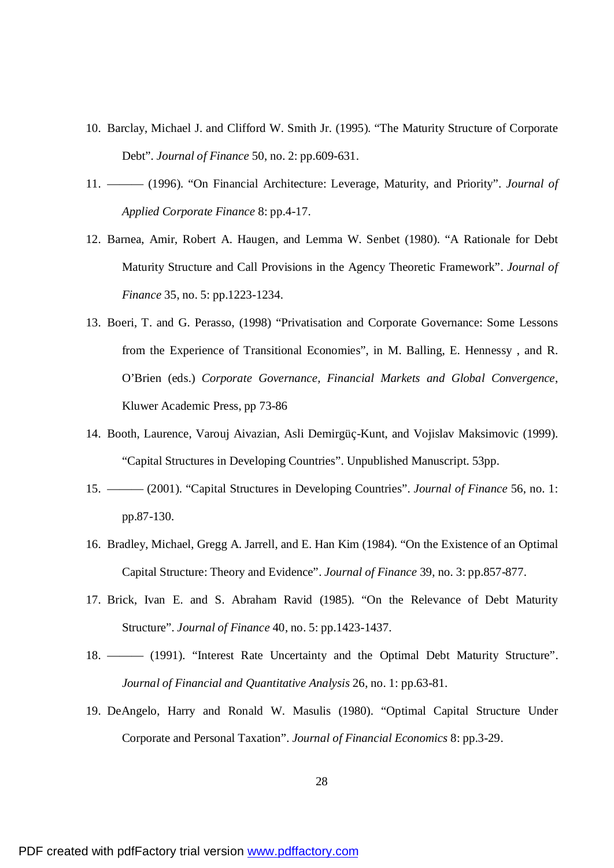- 10. Barclay, Michael J. and Clifford W. Smith Jr. (1995). "The Maturity Structure of Corporate Debt". *Journal of Finance* 50, no. 2: pp.609-631.
- 11. ——— (1996). "On Financial Architecture: Leverage, Maturity, and Priority". *Journal of Applied Corporate Finance* 8: pp.4-17.
- 12. Barnea, Amir, Robert A. Haugen, and Lemma W. Senbet (1980). "A Rationale for Debt Maturity Structure and Call Provisions in the Agency Theoretic Framework". *Journal of Finance* 35, no. 5: pp.1223-1234.
- 13. Boeri, T. and G. Perasso, (1998) "Privatisation and Corporate Governance: Some Lessons from the Experience of Transitional Economies", in M. Balling, E. Hennessy , and R. O'Brien (eds.) *Corporate Governance, Financial Markets and Global Convergence*, Kluwer Academic Press, pp 73-86
- 14. Booth, Laurence, Varouj Aivazian, Asli Demirgüç-Kunt, and Vojislav Maksimovic (1999). "Capital Structures in Developing Countries". Unpublished Manuscript. 53pp.
- 15. ——— (2001). "Capital Structures in Developing Countries". *Journal of Finance* 56, no. 1: pp.87-130.
- 16. Bradley, Michael, Gregg A. Jarrell, and E. Han Kim (1984). "On the Existence of an Optimal Capital Structure: Theory and Evidence". *Journal of Finance* 39, no. 3: pp.857-877.
- 17. Brick, Ivan E. and S. Abraham Ravid (1985). "On the Relevance of Debt Maturity Structure". *Journal of Finance* 40, no. 5: pp.1423-1437.
- 18. ——— (1991). "Interest Rate Uncertainty and the Optimal Debt Maturity Structure". *Journal of Financial and Quantitative Analysis* 26, no. 1: pp.63-81.
- 19. DeAngelo, Harry and Ronald W. Masulis (1980). "Optimal Capital Structure Under Corporate and Personal Taxation". *Journal of Financial Economics* 8: pp.3-29.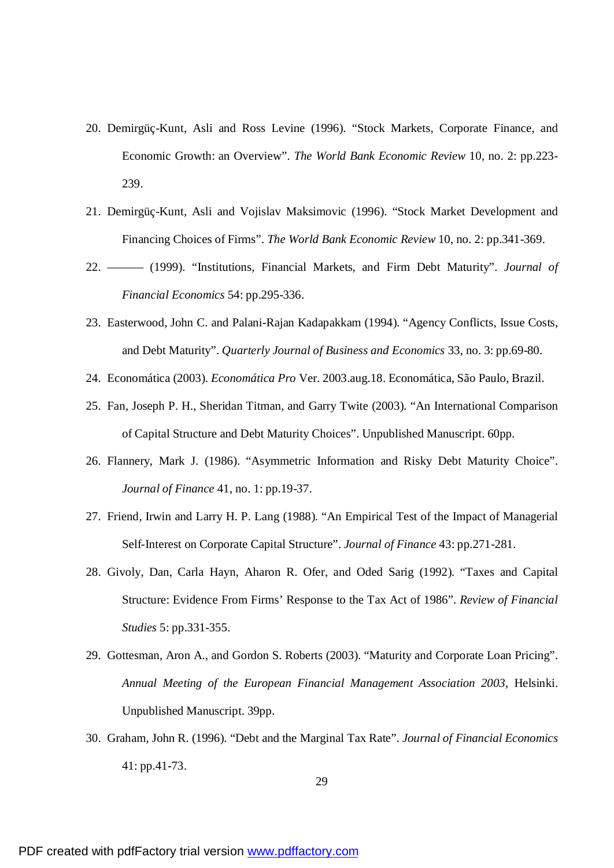- 20. Demirgüç-Kunt, Asli and Ross Levine (1996). "Stock Markets, Corporate Finance, and Economic Growth: an Overview". *The World Bank Economic Review* 10, no. 2: pp.223- 239.
- 21. Demirgüç-Kunt, Asli and Vojislav Maksimovic (1996). "Stock Market Development and Financing Choices of Firms". *The World Bank Economic Review* 10, no. 2: pp.341-369.
- 22. ——— (1999). "Institutions, Financial Markets, and Firm Debt Maturity". *Journal of Financial Economics* 54: pp.295-336.
- 23. Easterwood, John C. and Palani-Rajan Kadapakkam (1994). "Agency Conflicts, Issue Costs, and Debt Maturity". *Quarterly Journal of Business and Economics* 33, no. 3: pp.69-80.
- 24. Economática (2003). *Economática Pro* Ver. 2003.aug.18. Economática, São Paulo, Brazil.
- 25. Fan, Joseph P. H., Sheridan Titman, and Garry Twite (2003). "An International Comparison of Capital Structure and Debt Maturity Choices". Unpublished Manuscript. 60pp.
- 26. Flannery, Mark J. (1986). "Asymmetric Information and Risky Debt Maturity Choice". *Journal of Finance* 41, no. 1: pp.19-37.
- 27. Friend, Irwin and Larry H. P. Lang (1988). "An Empirical Test of the Impact of Managerial Self-Interest on Corporate Capital Structure". *Journal of Finance* 43: pp.271-281.
- 28. Givoly, Dan, Carla Hayn, Aharon R. Ofer, and Oded Sarig (1992). "Taxes and Capital Structure: Evidence From Firms' Response to the Tax Act of 1986". *Review of Financial Studies* 5: pp.331-355.
- 29. Gottesman, Aron A., and Gordon S. Roberts (2003). "Maturity and Corporate Loan Pricing". *Annual Meeting of the European Financial Management Association 2003*, Helsinki. Unpublished Manuscript. 39pp.
- 30. Graham, John R. (1996). "Debt and the Marginal Tax Rate". *Journal of Financial Economics* 41: pp.41-73.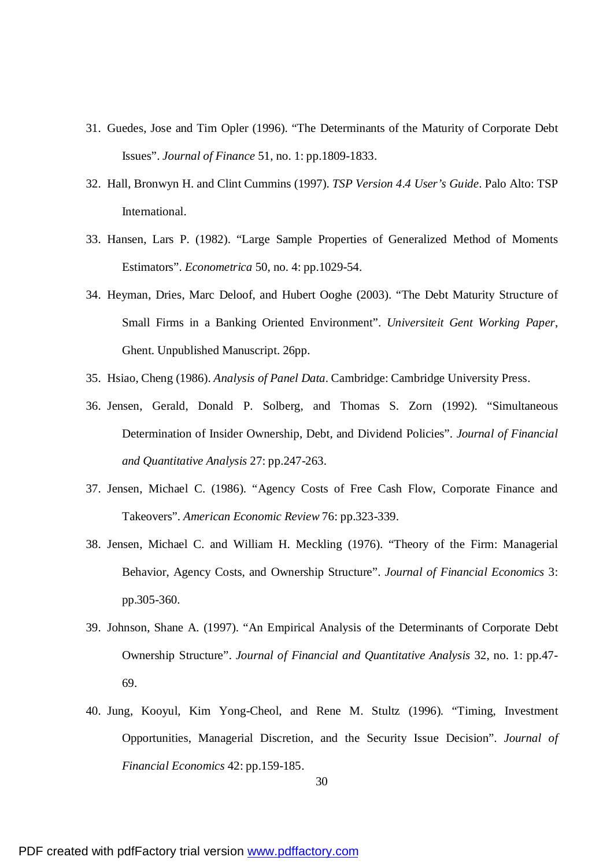- 31. Guedes, Jose and Tim Opler (1996). "The Determinants of the Maturity of Corporate Debt Issues". *Journal of Finance* 51, no. 1: pp.1809-1833.
- 32. Hall, Bronwyn H. and Clint Cummins (1997). *TSP Version 4.4 User's Guide*. Palo Alto: TSP International.
- 33. Hansen, Lars P. (1982). "Large Sample Properties of Generalized Method of Moments Estimators". *Econometrica* 50, no. 4: pp.1029-54.
- 34. Heyman, Dries, Marc Deloof, and Hubert Ooghe (2003). "The Debt Maturity Structure of Small Firms in a Banking Oriented Environment". *Universiteit Gent Working Paper*, Ghent. Unpublished Manuscript. 26pp.
- 35. Hsiao, Cheng (1986). *Analysis of Panel Data*. Cambridge: Cambridge University Press.
- 36. Jensen, Gerald, Donald P. Solberg, and Thomas S. Zorn (1992). "Simultaneous Determination of Insider Ownership, Debt, and Dividend Policies". *Journal of Financial and Quantitative Analysis* 27: pp.247-263.
- 37. Jensen, Michael C. (1986). "Agency Costs of Free Cash Flow, Corporate Finance and Takeovers". *American Economic Review* 76: pp.323-339.
- 38. Jensen, Michael C. and William H. Meckling (1976). "Theory of the Firm: Managerial Behavior, Agency Costs, and Ownership Structure". *Journal of Financial Economics* 3: pp.305-360.
- 39. Johnson, Shane A. (1997). "An Empirical Analysis of the Determinants of Corporate Debt Ownership Structure". *Journal of Financial and Quantitative Analysis* 32, no. 1: pp.47- 69.
- 40. Jung, Kooyul, Kim Yong-Cheol, and Rene M. Stultz (1996). "Timing, Investment Opportunities, Managerial Discretion, and the Security Issue Decision". *Journal of Financial Economics* 42: pp.159-185.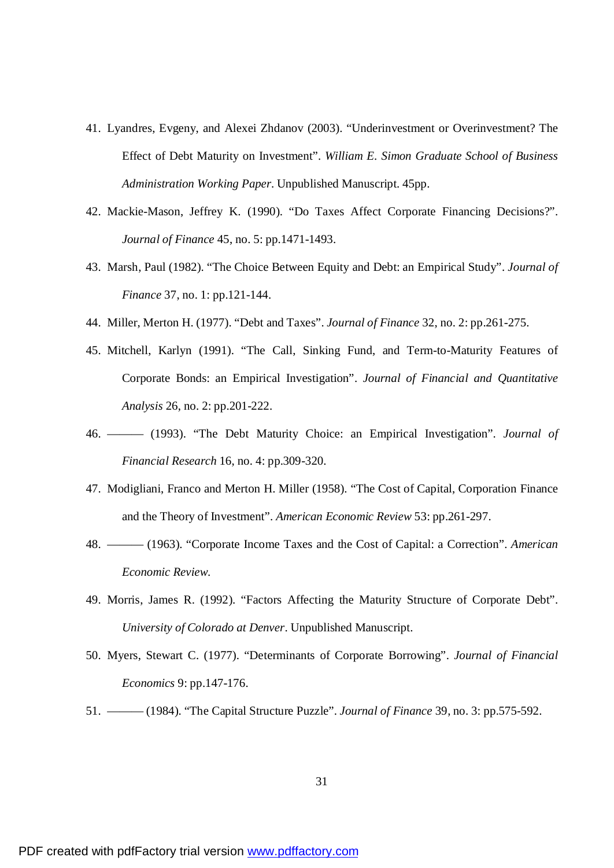- 41. Lyandres, Evgeny, and Alexei Zhdanov (2003). "Underinvestment or Overinvestment? The Effect of Debt Maturity on Investment". *William E. Simon Graduate School of Business Administration Working Paper*. Unpublished Manuscript. 45pp.
- 42. Mackie-Mason, Jeffrey K. (1990). "Do Taxes Affect Corporate Financing Decisions?". *Journal of Finance* 45, no. 5: pp.1471-1493.
- 43. Marsh, Paul (1982). "The Choice Between Equity and Debt: an Empirical Study". *Journal of Finance* 37, no. 1: pp.121-144.
- 44. Miller, Merton H. (1977). "Debt and Taxes". *Journal of Finance* 32, no. 2: pp.261-275.
- 45. Mitchell, Karlyn (1991). "The Call, Sinking Fund, and Term-to-Maturity Features of Corporate Bonds: an Empirical Investigation". *Journal of Financial and Quantitative Analysis* 26, no. 2: pp.201-222.
- 46. ——— (1993). "The Debt Maturity Choice: an Empirical Investigation". *Journal of Financial Research* 16, no. 4: pp.309-320.
- 47. Modigliani, Franco and Merton H. Miller (1958). "The Cost of Capital, Corporation Finance and the Theory of Investment". *American Economic Review* 53: pp.261-297.
- 48. ——— (1963). "Corporate Income Taxes and the Cost of Capital: a Correction". *American Economic Review*.
- 49. Morris, James R. (1992). "Factors Affecting the Maturity Structure of Corporate Debt". *University of Colorado at Denver*. Unpublished Manuscript.
- 50. Myers, Stewart C. (1977). "Determinants of Corporate Borrowing". *Journal of Financial Economics* 9: pp.147-176.
- 51. ——— (1984). "The Capital Structure Puzzle". *Journal of Finance* 39, no. 3: pp.575-592.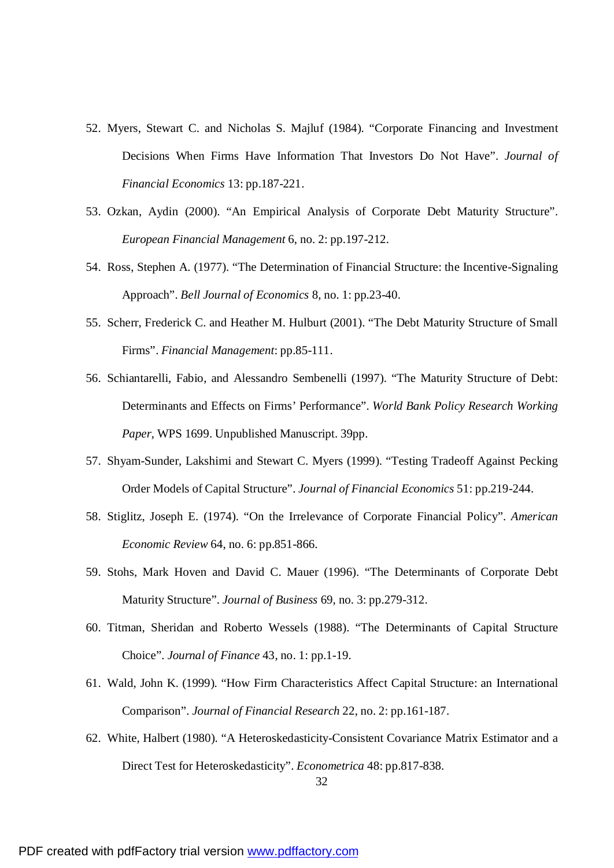- 52. Myers, Stewart C. and Nicholas S. Majluf (1984). "Corporate Financing and Investment Decisions When Firms Have Information That Investors Do Not Have". *Journal of Financial Economics* 13: pp.187-221.
- 53. Ozkan, Aydin (2000). "An Empirical Analysis of Corporate Debt Maturity Structure". *European Financial Management* 6, no. 2: pp.197-212.
- 54. Ross, Stephen A. (1977). "The Determination of Financial Structure: the Incentive-Signaling Approach". *Bell Journal of Economics* 8, no. 1: pp.23-40.
- 55. Scherr, Frederick C. and Heather M. Hulburt (2001). "The Debt Maturity Structure of Small Firms". *Financial Management*: pp.85-111.
- 56. Schiantarelli, Fabio, and Alessandro Sembenelli (1997). "The Maturity Structure of Debt: Determinants and Effects on Firms' Performance". *World Bank Policy Research Working Paper*, WPS 1699. Unpublished Manuscript. 39pp.
- 57. Shyam-Sunder, Lakshimi and Stewart C. Myers (1999). "Testing Tradeoff Against Pecking Order Models of Capital Structure". *Journal of Financial Economics* 51: pp.219-244.
- 58. Stiglitz, Joseph E. (1974). "On the Irrelevance of Corporate Financial Policy". *American Economic Review* 64, no. 6: pp.851-866.
- 59. Stohs, Mark Hoven and David C. Mauer (1996). "The Determinants of Corporate Debt Maturity Structure". *Journal of Business* 69, no. 3: pp.279-312.
- 60. Titman, Sheridan and Roberto Wessels (1988). "The Determinants of Capital Structure Choice". *Journal of Finance* 43, no. 1: pp.1-19.
- 61. Wald, John K. (1999). "How Firm Characteristics Affect Capital Structure: an International Comparison". *Journal of Financial Research* 22, no. 2: pp.161-187.
- 62. White, Halbert (1980). "A Heteroskedasticity-Consistent Covariance Matrix Estimator and a Direct Test for Heteroskedasticity". *Econometrica* 48: pp.817-838.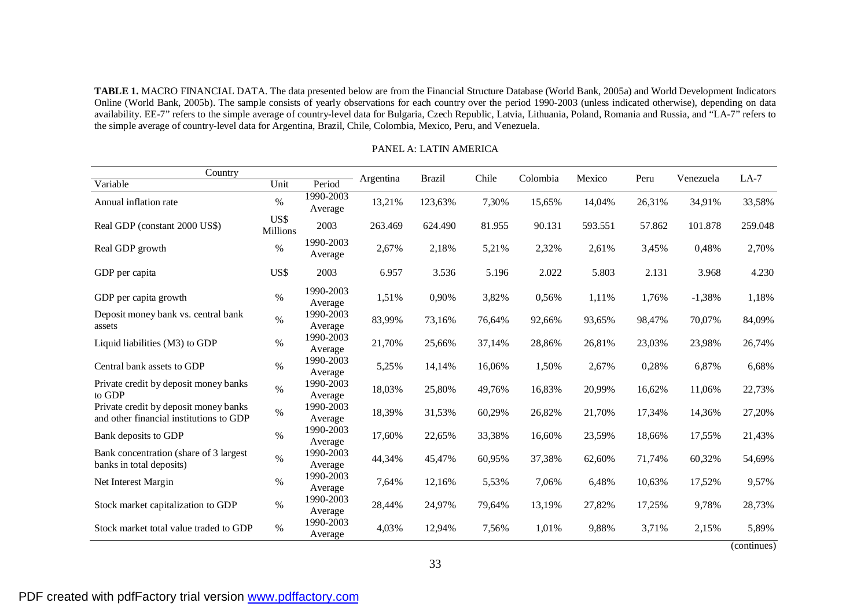**TABLE 1.** MACRO FINANCIAL DATA. The data presented below are from the Financial Structure Database (World Bank, 2005a) and World Development Indicators Online (World Bank, 2005b). The sample consists of yearly observations for each country over the period 1990-2003 (unless indicated otherwise), depending on data availability. EE-7" refers to the simple average of country-level data for Bulgaria, Czech Republic, Latvia, Lithuania, Poland, Romania and Russia, and "LA-7" refers to the simple average of country-level data for Argentina, Brazil, Chile, Colombia, Mexico, Peru, and Venezuela.

| Country                                                                          |                  |                      | Argentina | <b>Brazil</b> | Chile  | Colombia | Mexico  | Peru   | Venezuela | $LA-7$  |
|----------------------------------------------------------------------------------|------------------|----------------------|-----------|---------------|--------|----------|---------|--------|-----------|---------|
| Variable                                                                         | Unit             | Period               |           |               |        |          |         |        |           |         |
| Annual inflation rate                                                            | $\%$             | 1990-2003<br>Average | 13,21%    | 123,63%       | 7,30%  | 15,65%   | 14,04%  | 26,31% | 34,91%    | 33,58%  |
| Real GDP (constant 2000 US\$)                                                    | US\$<br>Millions | 2003                 | 263.469   | 624.490       | 81.955 | 90.131   | 593.551 | 57.862 | 101.878   | 259.048 |
| Real GDP growth                                                                  | $\%$             | 1990-2003<br>Average | 2,67%     | 2,18%         | 5,21%  | 2,32%    | 2,61%   | 3,45%  | 0,48%     | 2,70%   |
| GDP per capita                                                                   | US\$             | 2003                 | 6.957     | 3.536         | 5.196  | 2.022    | 5.803   | 2.131  | 3.968     | 4.230   |
| GDP per capita growth                                                            | $\%$             | 1990-2003<br>Average | 1,51%     | 0,90%         | 3,82%  | 0,56%    | 1,11%   | 1,76%  | $-1,38%$  | 1,18%   |
| Deposit money bank vs. central bank<br>assets                                    | $\%$             | 1990-2003<br>Average | 83,99%    | 73,16%        | 76,64% | 92,66%   | 93,65%  | 98,47% | 70,07%    | 84,09%  |
| Liquid liabilities (M3) to GDP                                                   | $\%$             | 1990-2003<br>Average | 21,70%    | 25,66%        | 37,14% | 28,86%   | 26,81%  | 23,03% | 23,98%    | 26,74%  |
| Central bank assets to GDP                                                       | $\%$             | 1990-2003<br>Average | 5,25%     | 14,14%        | 16,06% | 1,50%    | 2,67%   | 0,28%  | 6,87%     | 6,68%   |
| Private credit by deposit money banks<br>to GDP                                  | $\%$             | 1990-2003<br>Average | 18,03%    | 25,80%        | 49,76% | 16,83%   | 20,99%  | 16,62% | 11,06%    | 22,73%  |
| Private credit by deposit money banks<br>and other financial institutions to GDP | $\%$             | 1990-2003<br>Average | 18,39%    | 31,53%        | 60,29% | 26,82%   | 21,70%  | 17,34% | 14,36%    | 27,20%  |
| Bank deposits to GDP                                                             | $\%$             | 1990-2003<br>Average | 17,60%    | 22,65%        | 33,38% | 16,60%   | 23,59%  | 18,66% | 17,55%    | 21,43%  |
| Bank concentration (share of 3 largest)<br>banks in total deposits)              | $\%$             | 1990-2003<br>Average | 44,34%    | 45,47%        | 60,95% | 37,38%   | 62,60%  | 71,74% | 60,32%    | 54,69%  |
| Net Interest Margin                                                              | $\%$             | 1990-2003<br>Average | 7,64%     | 12,16%        | 5,53%  | 7,06%    | 6,48%   | 10,63% | 17,52%    | 9,57%   |
| Stock market capitalization to GDP                                               | $\%$             | 1990-2003<br>Average | 28,44%    | 24,97%        | 79,64% | 13,19%   | 27,82%  | 17,25% | 9,78%     | 28,73%  |
| Stock market total value traded to GDP                                           | $\%$             | 1990-2003<br>Average | 4,03%     | 12,94%        | 7,56%  | 1,01%    | 9,88%   | 3,71%  | 2,15%     | 5,89%   |

PANEL A: LATIN AMERICA

(continues)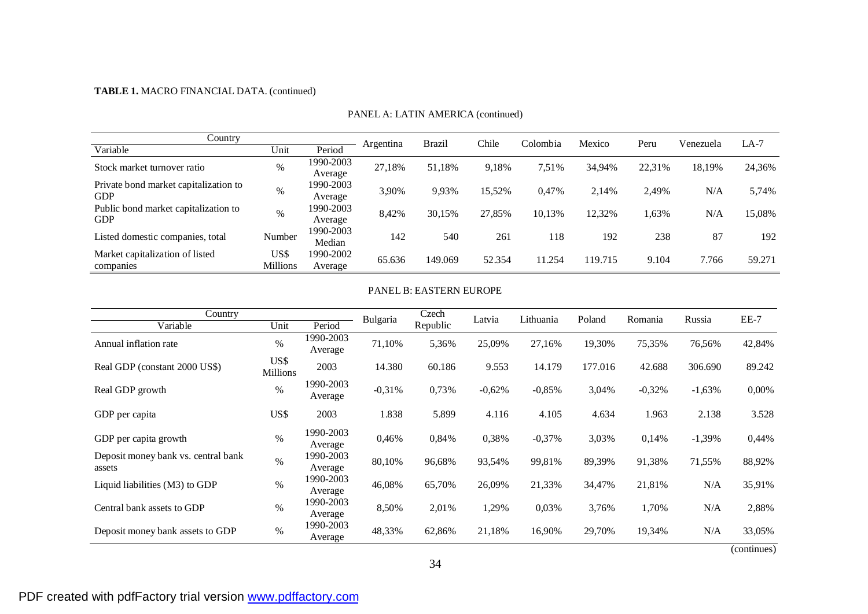## **TABLE 1.** MACRO FINANCIAL DATA. (continued)

| Country                                             |                         |                      |           | <b>Brazil</b> | Chile  | Colombia | Mexico  | Peru   | Venezuela | $LA-7$ |
|-----------------------------------------------------|-------------------------|----------------------|-----------|---------------|--------|----------|---------|--------|-----------|--------|
| Variable                                            | Unit                    | Period               | Argentina |               |        |          |         |        |           |        |
| Stock market turnover ratio                         | %                       | 1990-2003<br>Average | 27,18%    | 51.18%        | 9.18%  | 7,51%    | 34,94%  | 22,31% | 18,19%    | 24,36% |
| Private bond market capitalization to<br><b>GDP</b> | $\%$                    | 1990-2003<br>Average | 3.90%     | 9,93%         | 15,52% | 0,47%    | 2.14%   | 2,49%  | N/A       | 5,74%  |
| Public bond market capitalization to<br><b>GDP</b>  | $\%$                    | 1990-2003<br>Average | 8,42%     | 30,15%        | 27,85% | 10,13%   | 12,32%  | 1,63%  | N/A       | 15,08% |
| Listed domestic companies, total                    | Number                  | 1990-2003<br>Median  | 142       | 540           | 261    | 118      | 192     | 238    | 87        | 192    |
| Market capitalization of listed<br>companies        | US\$<br><b>Millions</b> | 1990-2002<br>Average | 65.636    | 149.069       | 52.354 | 11.254   | 119.715 | 9.104  | 7.766     | 59.271 |

#### PANEL A: LATIN AMERICA (continued)

### PANEL B: EASTERN EUROPE

| Country                                       |                         |                      | Bulgaria | Czech    | Latvia   | Lithuania | Poland  | Romania  | Russia   | EE-7   |
|-----------------------------------------------|-------------------------|----------------------|----------|----------|----------|-----------|---------|----------|----------|--------|
| Variable                                      | Unit                    | Period               |          | Republic |          |           |         |          |          |        |
| Annual inflation rate                         | $\%$                    | 1990-2003<br>Average | 71,10%   | 5,36%    | 25,09%   | 27,16%    | 19,30%  | 75,35%   | 76,56%   | 42,84% |
| Real GDP (constant 2000 US\$)                 | US\$<br><b>Millions</b> | 2003                 | 14.380   | 60.186   | 9.553    | 14.179    | 177.016 | 42.688   | 306.690  | 89.242 |
| Real GDP growth                               | $\%$                    | 1990-2003<br>Average | $-0,31%$ | 0,73%    | $-0,62%$ | $-0,85%$  | 3,04%   | $-0,32%$ | $-1,63%$ | 0,00%  |
| GDP per capita                                | US\$                    | 2003                 | 1.838    | 5.899    | 4.116    | 4.105     | 4.634   | 1.963    | 2.138    | 3.528  |
| GDP per capita growth                         | $\%$                    | 1990-2003<br>Average | 0,46%    | 0,84%    | 0,38%    | $-0,37%$  | 3,03%   | 0,14%    | $-1,39%$ | 0,44%  |
| Deposit money bank vs. central bank<br>assets | $\%$                    | 1990-2003<br>Average | 80,10%   | 96,68%   | 93,54%   | 99,81%    | 89,39%  | 91,38%   | 71,55%   | 88,92% |
| Liquid liabilities (M3) to GDP                | $\%$                    | 1990-2003<br>Average | 46,08%   | 65,70%   | 26,09%   | 21,33%    | 34,47%  | 21,81%   | N/A      | 35,91% |
| Central bank assets to GDP                    | $\%$                    | 1990-2003<br>Average | 8,50%    | 2,01%    | 1,29%    | 0,03%     | 3,76%   | 1,70%    | N/A      | 2,88%  |
| Deposit money bank assets to GDP              | $\%$                    | 1990-2003<br>Average | 48,33%   | 62,86%   | 21,18%   | 16,90%    | 29,70%  | 19,34%   | N/A      | 33,05% |

(continues)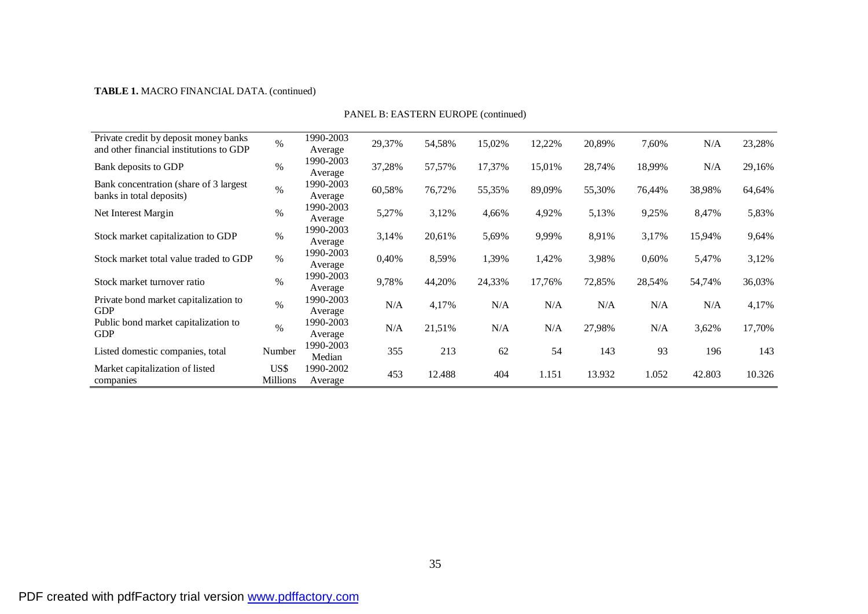## **TABLE 1.** MACRO FINANCIAL DATA. (continued)

| Private credit by deposit money banks<br>and other financial institutions to GDP | $\%$             | 1990-2003<br>Average | 29,37% | 54,58% | 15,02% | 12,22% | 20,89% | 7,60%  | N/A    | 23,28% |
|----------------------------------------------------------------------------------|------------------|----------------------|--------|--------|--------|--------|--------|--------|--------|--------|
| Bank deposits to GDP                                                             | $\%$             | 1990-2003<br>Average | 37,28% | 57,57% | 17,37% | 15,01% | 28,74% | 18,99% | N/A    | 29,16% |
| Bank concentration (share of 3 largest)<br>banks in total deposits)              | $\%$             | 1990-2003<br>Average | 60,58% | 76,72% | 55,35% | 89,09% | 55,30% | 76,44% | 38,98% | 64,64% |
| Net Interest Margin                                                              | $\%$             | 1990-2003<br>Average | 5,27%  | 3,12%  | 4,66%  | 4,92%  | 5,13%  | 9,25%  | 8,47%  | 5,83%  |
| Stock market capitalization to GDP                                               | $\%$             | 1990-2003<br>Average | 3,14%  | 20,61% | 5,69%  | 9,99%  | 8,91%  | 3,17%  | 15,94% | 9,64%  |
| Stock market total value traded to GDP                                           | $\%$             | 1990-2003<br>Average | 0,40%  | 8,59%  | 1,39%  | 1,42%  | 3,98%  | 0,60%  | 5,47%  | 3,12%  |
| Stock market turnover ratio                                                      | $\%$             | 1990-2003<br>Average | 9,78%  | 44,20% | 24,33% | 17,76% | 72,85% | 28,54% | 54,74% | 36,03% |
| Private bond market capitalization to<br><b>GDP</b>                              | $\%$             | 1990-2003<br>Average | N/A    | 4,17%  | N/A    | N/A    | N/A    | N/A    | N/A    | 4,17%  |
| Public bond market capitalization to<br><b>GDP</b>                               | $\%$             | 1990-2003<br>Average | N/A    | 21,51% | N/A    | N/A    | 27,98% | N/A    | 3,62%  | 17,70% |
| Listed domestic companies, total                                                 | Number           | 1990-2003<br>Median  | 355    | 213    | 62     | 54     | 143    | 93     | 196    | 143    |
| Market capitalization of listed<br>companies                                     | US\$<br>Millions | 1990-2002<br>Average | 453    | 12.488 | 404    | 1.151  | 13.932 | 1.052  | 42.803 | 10.326 |

PANEL B: EASTERN EUROPE (continued)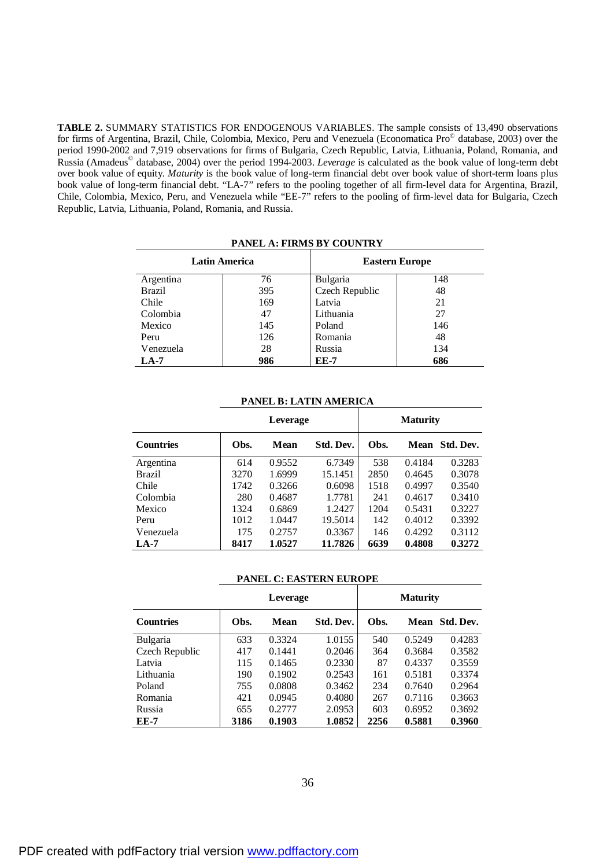**TABLE 2.** SUMMARY STATISTICS FOR ENDOGENOUS VARIABLES. The sample consists of 13,490 observations for firms of Argentina, Brazil, Chile, Colombia, Mexico, Peru and Venezuela (Economatica Pro© database, 2003) over the period 1990-2002 and 7,919 observations for firms of Bulgaria, Czech Republic, Latvia, Lithuania, Poland, Romania, and Russia (Amadeus © database, 2004) over the period 1994-2003. *Leverage* is calculated as the book value of long-term debt over book value of equity. *Maturity* is the book value of long-term financial debt over book value of short-term loans plus book value of long-term financial debt. "LA-7" refers to the pooling together of all firm-level data for Argentina, Brazil, Chile, Colombia, Mexico, Peru, and Venezuela while "EE-7" refers to the pooling of firm-level data for Bulgaria, Czech Republic, Latvia, Lithuania, Poland, Romania, and Russia.

|               | <b>Latin America</b> |                | <b>Eastern Europe</b> |
|---------------|----------------------|----------------|-----------------------|
| Argentina     | 76                   | Bulgaria       | 148                   |
| <b>Brazil</b> | 395                  | Czech Republic | 48                    |
| Chile         | 169                  | Latvia         | 21                    |
| Colombia      | 47                   | Lithuania      | 27                    |
| Mexico        | 145                  | Poland         | 146                   |
| Peru          | 126                  | Romania        | 48                    |
| Venezuela     | 28                   | Russia         | 134                   |
| $LA-7$        | 986                  | EE-7           | 686                   |

**PANEL A: FIRMS BY COUNTRY** 

#### **PANEL B: LATIN AMERICA**

|                  |      | Leverage | <b>Maturity</b> |      |        |                |  |
|------------------|------|----------|-----------------|------|--------|----------------|--|
| <b>Countries</b> | Obs. | Mean     | Std. Dev.       | Obs. |        | Mean Std. Dev. |  |
| Argentina        | 614  | 0.9552   | 6.7349          | 538  | 0.4184 | 0.3283         |  |
| <b>Brazil</b>    | 3270 | 1.6999   | 15.1451         | 2850 | 0.4645 | 0.3078         |  |
| Chile            | 1742 | 0.3266   | 0.6098          | 1518 | 0.4997 | 0.3540         |  |
| Colombia         | 280  | 0.4687   | 1.7781          | 241  | 0.4617 | 0.3410         |  |
| Mexico           | 1324 | 0.6869   | 1.2427          | 1204 | 0.5431 | 0.3227         |  |
| Peru             | 1012 | 1.0447   | 19.5014         | 142  | 0.4012 | 0.3392         |  |
| Venezuela        | 175  | 0.2757   | 0.3367          | 146  | 0.4292 | 0.3112         |  |
| $LA-7$           | 8417 | 1.0527   | 11.7826         | 6639 | 0.4808 | 0.3272         |  |

#### **PANEL C: EASTERN EUROPE**

|                  |      | Leverage |           | <b>Maturity</b> |        |                |  |  |  |
|------------------|------|----------|-----------|-----------------|--------|----------------|--|--|--|
| <b>Countries</b> | Obs. | Mean     | Std. Dev. | Obs.            |        | Mean Std. Dev. |  |  |  |
| Bulgaria         | 633  | 0.3324   | 1.0155    | 540             | 0.5249 | 0.4283         |  |  |  |
| Czech Republic   | 417  | 0.1441   | 0.2046    | 364             | 0.3684 | 0.3582         |  |  |  |
| Latvia           | 115  | 0.1465   | 0.2330    | 87              | 0.4337 | 0.3559         |  |  |  |
| Lithuania        | 190  | 0.1902   | 0.2543    | 161             | 0.5181 | 0.3374         |  |  |  |
| Poland           | 755  | 0.0808   | 0.3462    | 234             | 0.7640 | 0.2964         |  |  |  |
| Romania          | 421  | 0.0945   | 0.4080    | 267             | 0.7116 | 0.3663         |  |  |  |
| Russia           | 655  | 0.2777   | 2.0953    | 603             | 0.6952 | 0.3692         |  |  |  |
| <b>EE-7</b>      | 3186 | 0.1903   | 1.0852    | 2256            | 0.5881 | 0.3960         |  |  |  |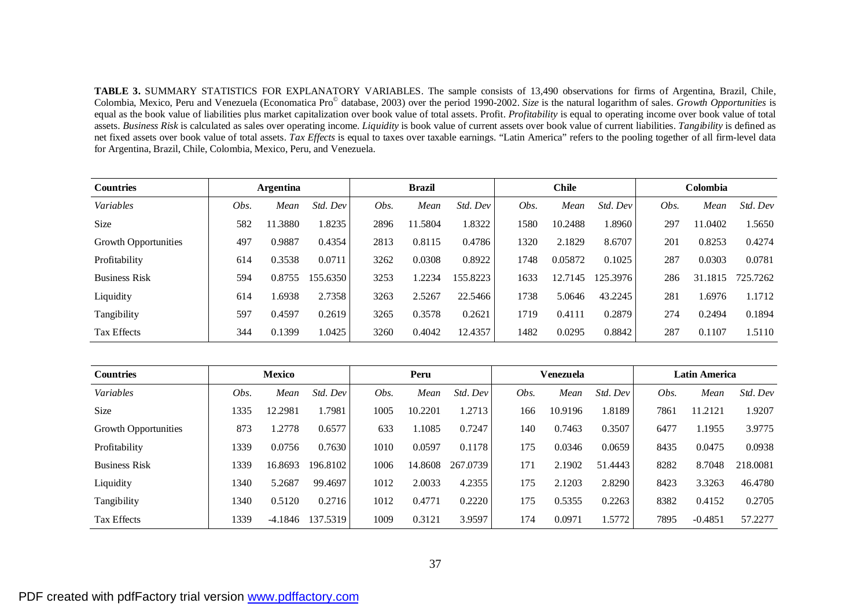**TABLE 3.** SUMMARY STATISTICS FOR EXPLANATORY VARIABLES. The sample consists of 13,490 observations for firms of Argentina, Brazil, Chile, Colombia, Mexico, Peru and Venezuela (Economatica Pro© database, 2003) over the period 1990-2002. *Size* is the natural logarithm of sales. *Growth Opportunities* is equal as the book value of liabilities plus market capitalization over book value of total assets. Profit. *Profitability* is equal to operating income over book value of total assets. *Business Risk* is calculated as sales over operating income. *Liquidity* is book value of current assets over book value of current liabilities. *Tangibility* is defined as net fixed assets over book value of total assets. *Tax Effects* is equal to taxes over taxable earnings. "Latin America" refers to the pooling together of all firm-level data for Argentina, Brazil, Chile, Colombia, Mexico, Peru, and Venezuela.

| <b>Countries</b>            |      | <b>Argentina</b> |          | <b>Brazil</b> |         |          | <b>Chile</b> |         |          | Colombia |         |          |
|-----------------------------|------|------------------|----------|---------------|---------|----------|--------------|---------|----------|----------|---------|----------|
| Variables                   | Obs. | Mean             | Std. Dev | Obs.          | Mean    | Std. Dev | Obs.         | Mean    | Std. Dev | Obs.     | Mean    | Std. Dev |
| <b>Size</b>                 | 582  | 11.3880          | 1.8235   | 2896          | 11.5804 | 1.8322   | 1580         | 10.2488 | .8960    | 297      | 11.0402 | 1.5650   |
| <b>Growth Opportunities</b> | 497  | 0.9887           | 0.4354   | 2813          | 0.8115  | 0.4786   | 1320         | 2.1829  | 8.6707   | 201      | 0.8253  | 0.4274   |
| Profitability               | 614  | 0.3538           | 0.0711   | 3262          | 0.0308  | 0.8922   | 1748         | 0.05872 | 0.1025   | 287      | 0.0303  | 0.0781   |
| <b>Business Risk</b>        | 594  | 0.8755           | 155.6350 | 3253          | 1.2234  | 155.8223 | 1633         | 12.7145 | 125.3976 | 286      | 31.1815 | 725.7262 |
| Liquidity                   | 614  | 1.6938           | 2.7358   | 3263          | 2.5267  | 22.5466  | 1738         | 5.0646  | 43.2245  | 281      | .6976   | 1.1712   |
| Tangibility                 | 597  | 0.4597           | 0.2619   | 3265          | 0.3578  | 0.2621   | 1719         | 0.4111  | 0.2879   | 274      | 0.2494  | 0.1894   |
| <b>Tax Effects</b>          | 344  | 0.1399           | 1.0425   | 3260          | 0.4042  | 12.4357  | 1482         | 0.0295  | 0.8842   | 287      | 0.1107  | 1.5110   |

| <b>Countries</b>            |      | <b>Mexico</b> |          |      | Peru    |          |      | <b>Venezuela</b> |          |      | Latin America |          |  |
|-----------------------------|------|---------------|----------|------|---------|----------|------|------------------|----------|------|---------------|----------|--|
| Variables                   | Obs. | Mean          | Std. Dev | Obs. | Mean    | Std. Dev | Obs. | Mean             | Std. Dev | Obs. | Mean          | Std. Dev |  |
| <b>Size</b>                 | 1335 | 12.2981       | 1.7981   | 1005 | 10.2201 | 1.2713   | 166  | 10.9196          | 1.8189   | 7861 | 11.2121       | 1.9207   |  |
| <b>Growth Opportunities</b> | 873  | 1.2778        | 0.6577   | 633  | 1.1085  | 0.7247   | 140  | 0.7463           | 0.3507   | 6477 | 1.1955        | 3.9775   |  |
| Profitability               | 1339 | 0.0756        | 0.7630   | 1010 | 0.0597  | 0.1178   | 175  | 0.0346           | 0.0659   | 8435 | 0.0475        | 0.0938   |  |
| <b>Business Risk</b>        | 1339 | 16.8693       | 196.8102 | 1006 | 14.8608 | 267.0739 | 171  | 2.1902           | 51.4443  | 8282 | 8.7048        | 218,0081 |  |
| Liquidity                   | 1340 | 5.2687        | 99.4697  | 1012 | 2.0033  | 4.2355   | 175  | 2.1203           | 2.8290   | 8423 | 3.3263        | 46.4780  |  |
| Tangibility                 | 1340 | 0.5120        | 0.2716   | 1012 | 0.4771  | 0.2220   | 175  | 0.5355           | 0.2263   | 8382 | 0.4152        | 0.2705   |  |
| <b>Tax Effects</b>          | 1339 | $-4.1846$     | 137.5319 | 1009 | 0.3121  | 3.9597   | 174  | 0.0971           | 1.5772   | 7895 | $-0.4851$     | 57.2277  |  |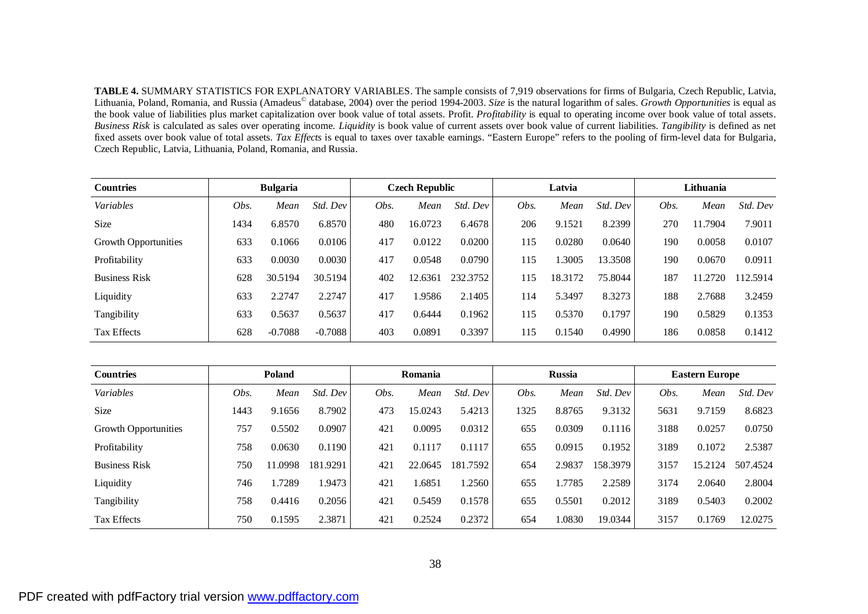**TABLE 4.** SUMMARY STATISTICS FOR EXPLANATORY VARIABLES. The sample consists of 7,919 observations for firms of Bulgaria, Czech Republic, Latvia, Lithuania, Poland, Romania, and Russia (Amadeus© database, 2004) over the period 1994-2003. *Size* is the natural logarithm of sales. *Growth Opportunities* is equal as the book value of liabilities plus market capitalization over book value of total assets. Profit. *Profitability* is equal to operating income over book value of total assets. *Business Risk* is calculated as sales over operating income. *Liquidity* is book value of current assets over book value of current liabilities. *Tangibility* is defined as net fixed assets over book value of total assets. *Tax Effects* is equal to taxes over taxable earnings. "Eastern Europe" refers to the pooling of firm-level data for Bulgaria, Czech Republic, Latvia, Lithuania, Poland, Romania, and Russia.

| <b>Countries</b>     |      | <b>Bulgaria</b> |           | <b>Czech Republic</b> |         |          | Latvia |         |          | Lithuania |         |          |
|----------------------|------|-----------------|-----------|-----------------------|---------|----------|--------|---------|----------|-----------|---------|----------|
| Variables            | Obs. | Mean            | Std. Dev  | Obs.                  | Mean    | Std. Dev | Obs.   | Mean    | Std. Dev | Obs.      | Mean    | Std. Dev |
| <b>Size</b>          | 1434 | 6.8570          | 6.8570    | 480                   | 16.0723 | 6.4678   | 206    | 9.1521  | 8.2399   | 270       | 11.7904 | 7.9011   |
| Growth Opportunities | 633  | 0.1066          | 0.0106    | 417                   | 0.0122  | 0.0200   | 115    | 0.0280  | 0.0640   | 190       | 0.0058  | 0.0107   |
| Profitability        | 633  | 0.0030          | 0.0030    | 417                   | 0.0548  | 0.0790   | 115    | 1.3005  | 13.3508  | 190       | 0.0670  | 0.0911   |
| <b>Business Risk</b> | 628  | 30.5194         | 30.5194   | 402                   | 12.6361 | 232.3752 | 115    | 18.3172 | 75.8044  | 187       | 11.2720 | 112.5914 |
| Liquidity            | 633  | 2.2747          | 2.2747    | 417                   | .9586   | 2.1405   | 114    | 5.3497  | 8.3273   | 188       | 2.7688  | 3.2459   |
| Tangibility          | 633  | 0.5637          | 0.5637    | 417                   | 0.6444  | 0.1962   | 115    | 0.5370  | 0.1797   | 190       | 0.5829  | 0.1353   |
| <b>Tax Effects</b>   | 628  | $-0.7088$       | $-0.7088$ | 403                   | 0.0891  | 0.3397   | 115    | 0.1540  | 0.4990   | 186       | 0.0858  | 0.1412   |

| <b>Countries</b>            |      | Poland  |          | Romania |         |          | <b>Russia</b> |        |          | <b>Eastern Europe</b> |         |          |
|-----------------------------|------|---------|----------|---------|---------|----------|---------------|--------|----------|-----------------------|---------|----------|
| Variables                   | Obs. | Mean    | Std. Dev | Obs.    | Mean    | Std. Dev | Obs.          | Mean   | Std. Dev | Obs.                  | Mean    | Std. Dev |
| Size                        | 1443 | 9.1656  | 8.7902   | 473     | 15.0243 | 5.4213   | 325           | 8.8765 | 9.3132   | 5631                  | 9.7159  | 8.6823   |
| <b>Growth Opportunities</b> | 757  | 0.5502  | 0.0907   | 421     | 0.0095  | 0.0312   | 655           | 0.0309 | 0.1116   | 3188                  | 0.0257  | 0.0750   |
| Profitability               | 758  | 0.0630  | 0.1190   | 421     | 0.1117  | 0.1117   | 655           | 0.0915 | 0.1952   | 3189                  | 0.1072  | 2.5387   |
| <b>Business Risk</b>        | 750  | 11.0998 | 181.9291 | 421     | 22.0645 | 181.7592 | 654           | 2.9837 | 158.3979 | 3157                  | 15.2124 | 507.4524 |
| Liquidity                   | 746  | 1.7289  | 1.9473   | 421     | .6851   | 1.2560   | 655           | 1.7785 | 2.2589   | 3174                  | 2.0640  | 2.8004   |
| Tangibility                 | 758  | 0.4416  | 0.2056   | 421     | 0.5459  | 0.1578   | 655           | 0.5501 | 0.2012   | 3189                  | 0.5403  | 0.2002   |
| Tax Effects                 | 750  | 0.1595  | 2.3871   | 421     | 0.2524  | 0.2372   | 654           | 1.0830 | 19.0344  | 3157                  | 0.1769  | 12.0275  |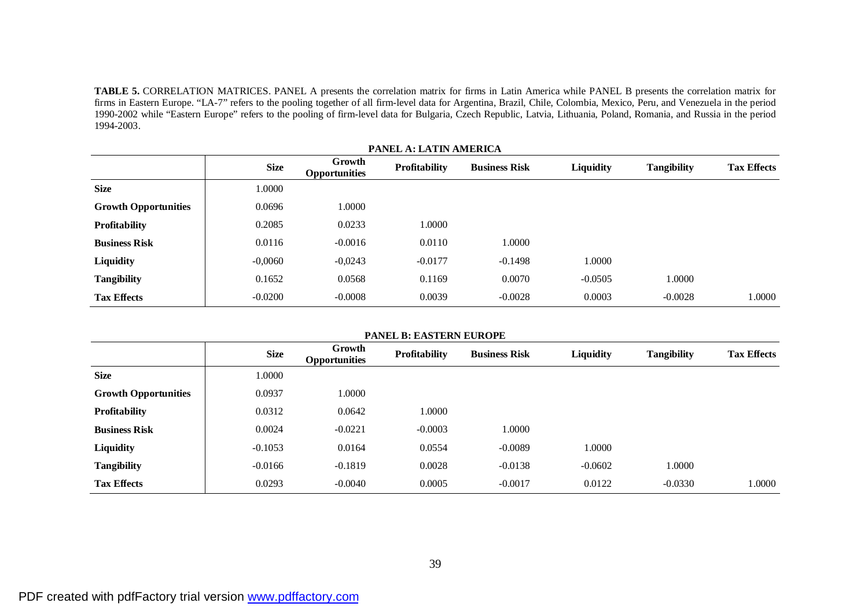**TABLE 5.** CORRELATION MATRICES. PANEL A presents the correlation matrix for firms in Latin America while PANEL B presents the correlation matrix for firms in Eastern Europe. "LA-7" refers to the pooling together of all firm-level data for Argentina, Brazil, Chile, Colombia, Mexico, Peru, and Venezuela in the period 1990-2002 while "Eastern Europe" refers to the pooling of firm-level data for Bulgaria, Czech Republic, Latvia, Lithuania, Poland, Romania, and Russia in the period 1994-2003.

| <b>PANEL A: LATIN AMERICA</b> |             |                                |                      |                      |           |                    |                    |  |  |  |  |  |  |
|-------------------------------|-------------|--------------------------------|----------------------|----------------------|-----------|--------------------|--------------------|--|--|--|--|--|--|
|                               | <b>Size</b> | Growth<br><b>Opportunities</b> | <b>Profitability</b> | <b>Business Risk</b> | Liquidity | <b>Tangibility</b> | <b>Tax Effects</b> |  |  |  |  |  |  |
| <b>Size</b>                   | 1.0000      |                                |                      |                      |           |                    |                    |  |  |  |  |  |  |
| <b>Growth Opportunities</b>   | 0.0696      | 1.0000                         |                      |                      |           |                    |                    |  |  |  |  |  |  |
| Profitability                 | 0.2085      | 0.0233                         | 1.0000               |                      |           |                    |                    |  |  |  |  |  |  |
| <b>Business Risk</b>          | 0.0116      | $-0.0016$                      | 0.0110               | 1.0000               |           |                    |                    |  |  |  |  |  |  |
| Liquidity                     | $-0,0060$   | $-0,0243$                      | $-0.0177$            | $-0.1498$            | 1.0000    |                    |                    |  |  |  |  |  |  |
| <b>Tangibility</b>            | 0.1652      | 0.0568                         | 0.1169               | 0.0070               | $-0.0505$ | 1.0000             |                    |  |  |  |  |  |  |
| <b>Tax Effects</b>            | $-0.0200$   | $-0.0008$                      | 0.0039               | $-0.0028$            | 0.0003    | $-0.0028$          | 1.0000             |  |  |  |  |  |  |

| <b>PANEL B: EASTERN EUROPE</b> |             |                                |                      |                      |           |                    |                    |  |
|--------------------------------|-------------|--------------------------------|----------------------|----------------------|-----------|--------------------|--------------------|--|
|                                | <b>Size</b> | Growth<br><b>Opportunities</b> | <b>Profitability</b> | <b>Business Risk</b> | Liquidity | <b>Tangibility</b> | <b>Tax Effects</b> |  |
| <b>Size</b>                    | 1.0000      |                                |                      |                      |           |                    |                    |  |
| <b>Growth Opportunities</b>    | 0.0937      | 1.0000                         |                      |                      |           |                    |                    |  |
| <b>Profitability</b>           | 0.0312      | 0.0642                         | 1.0000               |                      |           |                    |                    |  |
| <b>Business Risk</b>           | 0.0024      | $-0.0221$                      | $-0.0003$            | 1.0000               |           |                    |                    |  |
| Liquidity                      | $-0.1053$   | 0.0164                         | 0.0554               | $-0.0089$            | 1.0000    |                    |                    |  |
| <b>Tangibility</b>             | $-0.0166$   | $-0.1819$                      | 0.0028               | $-0.0138$            | $-0.0602$ | 1.0000             |                    |  |
| <b>Tax Effects</b>             | 0.0293      | $-0.0040$                      | 0.0005               | $-0.0017$            | 0.0122    | $-0.0330$          | 1.0000             |  |

# PDF created with pdfFactory trial version [www.pdffactory.com](http://www.pdffactory.com)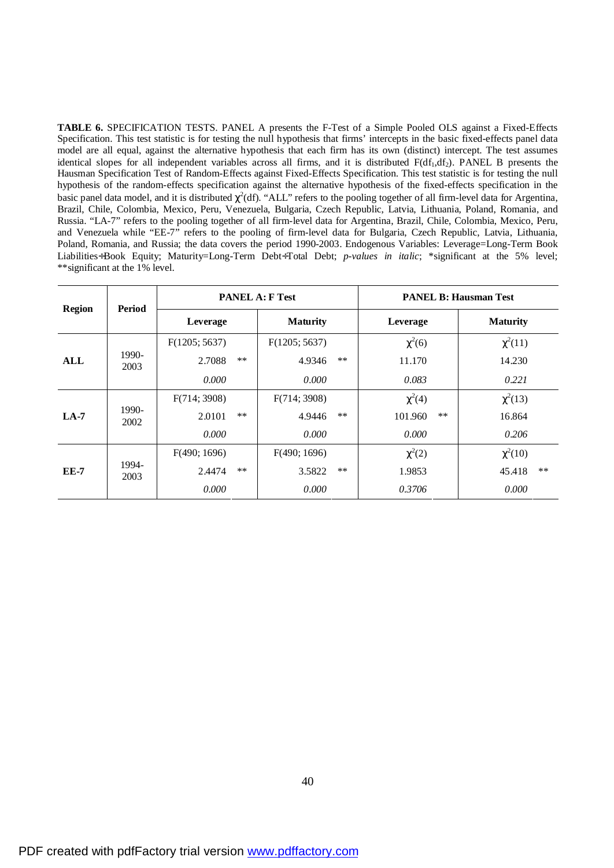**TABLE 6.** SPECIFICATION TESTS. PANEL A presents the F-Test of a Simple Pooled OLS against a Fixed-Effects Specification. This test statistic is for testing the null hypothesis that firms' intercepts in the basic fixed-effects panel data model are all equal, against the alternative hypothesis that each firm has its own (distinct) intercept. The test assumes identical slopes for all independent variables across all firms, and it is distributed  $F(df_1, df_2)$ . PANEL B presents the Hausman Specification Test of Random-Effects against Fixed-Effects Specification. This test statistic is for testing the null hypothesis of the random-effects specification against the alternative hypothesis of the fixed-effects specification in the basic panel data model, and it is distributed  $\chi^2$ (df). "ALL" refers to the pooling together of all firm-level data for Argentina, Brazil, Chile, Colombia, Mexico, Peru, Venezuela, Bulgaria, Czech Republic, Latvia, Lithuania, Poland, Romania, and Russia. "LA-7" refers to the pooling together of all firm-level data for Argentina, Brazil, Chile, Colombia, Mexico, Peru, and Venezuela while "EE-7" refers to the pooling of firm-level data for Bulgaria, Czech Republic, Latvia, Lithuania, Poland, Romania, and Russia; the data covers the period 1990-2003. Endogenous Variables: Leverage=Long-Term Book Liabilities÷Book Equity; Maturity=Long-Term Debt÷Total Debt; *p-values in italic*; \*significant at the 5% level; \*\*significant at the 1% level.

|               | Period        | <b>PANEL A: F Test</b> |       |                 |       | <b>PANEL B: Hausman Test</b> |                 |  |  |
|---------------|---------------|------------------------|-------|-----------------|-------|------------------------------|-----------------|--|--|
| <b>Region</b> |               | Leverage               |       | <b>Maturity</b> |       | Leverage                     | <b>Maturity</b> |  |  |
| ALL           | 1990-<br>2003 | F(1205; 5637)          |       | F(1205; 5637)   | $***$ | $\chi^2(6)$                  | $\chi^2(11)$    |  |  |
|               |               | 2.7088                 | **    | 4.9346          |       | 11.170                       | 14.230          |  |  |
|               |               | 0.000                  |       | 0.000           |       | 0.083                        | 0.221           |  |  |
| $LA-7$        |               | F(714; 3908)           | $***$ | F(714; 3908)    | $***$ | $\chi^2(4)$                  | $\chi^2(13)$    |  |  |
|               | 1990-<br>2002 | 2.0101                 |       | 4.9446          |       | **<br>101.960                | 16.864          |  |  |
|               |               | 0.000                  |       | 0.000           |       | 0.000                        | 0.206           |  |  |
| <b>EE-7</b>   | 1994-<br>2003 | F(490; 1696)           | $***$ | F(490; 1696)    | $***$ | $\chi^2(2)$                  | $\chi^2(10)$    |  |  |
|               |               | 2.4474                 |       | 3.5822          |       | 1.9853                       | **<br>45.418    |  |  |
|               |               | 0.000                  |       | 0.000           |       | 0.3706                       | 0.000           |  |  |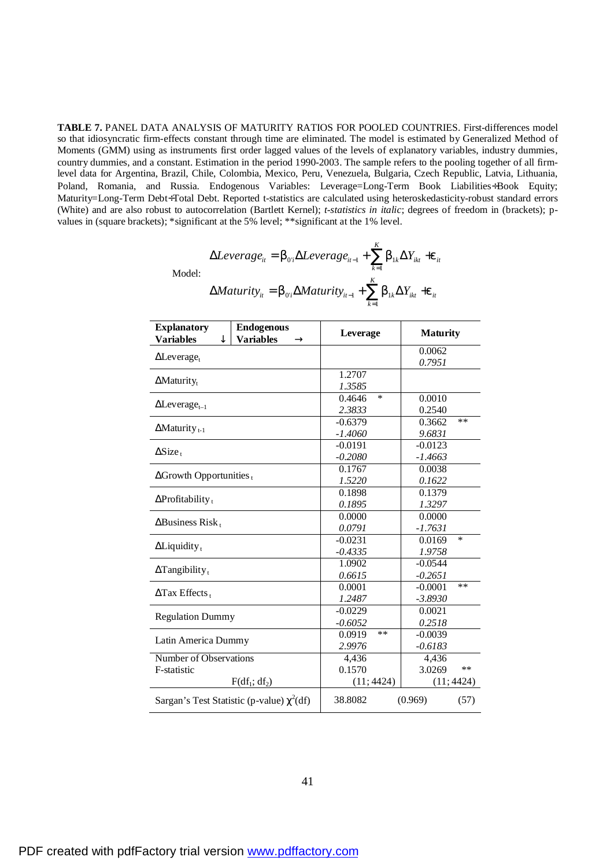**TABLE 7.** PANEL DATA ANALYSIS OF MATURITY RATIOS FOR POOLED COUNTRIES. First-differences model so that idiosyncratic firm-effects constant through time are eliminated. The model is estimated by Generalized Method of Moments (GMM) using as instruments first order lagged values of the levels of explanatory variables, industry dummies, country dummies, and a constant. Estimation in the period 1990-2003. The sample refers to the pooling together of all firmlevel data for Argentina, Brazil, Chile, Colombia, Mexico, Peru, Venezuela, Bulgaria, Czech Republic, Latvia, Lithuania, Poland, Romania, and Russia. Endogenous Variables: Leverage=Long-Term Book Liabilities÷Book Equity; Maturity=Long-Term Debt÷Total Debt. Reported t-statistics are calculated using heteroskedasticity-robust standard errors (White) and are also robust to autocorrelation (Bartlett Kernel); *t-statistics in italic*; degrees of freedom in (brackets); pvalues in (square brackets); \*significant at the 5% level; \*\*significant at the 1% level.

$$
\Delta Leverage_{it} = b_{0i} \Delta Leverage_{it-1} + \sum_{k=1}^{K} b_{1k} \Delta Y_{ikt} + e_{it}
$$
  
Model:  

$$
\Delta Matrix_{it} = b_{0i} \Delta Matrix_{it-1} + \sum_{k=1}^{K} b_{1k} \Delta Y_{ikt} + e_{it}
$$

| <b>Explanatory</b><br><b>Variables</b> | <b>Endogenous</b><br><b>Variables</b><br>(R)   | Leverage                                                                                                                                                                                                                                                                                 |           | <b>Maturity</b> |            |
|----------------------------------------|------------------------------------------------|------------------------------------------------------------------------------------------------------------------------------------------------------------------------------------------------------------------------------------------------------------------------------------------|-----------|-----------------|------------|
|                                        |                                                |                                                                                                                                                                                                                                                                                          |           | 0.0062          |            |
| $\Delta$ Leverage <sub>t</sub>         |                                                |                                                                                                                                                                                                                                                                                          |           | 0.7951          |            |
|                                        |                                                |                                                                                                                                                                                                                                                                                          |           |                 |            |
| $\Delta$ Maturity <sub>t</sub>         |                                                | 1.3585                                                                                                                                                                                                                                                                                   |           |                 |            |
|                                        |                                                |                                                                                                                                                                                                                                                                                          |           | 0.0010          |            |
| $\Delta$ Leverage <sub>t-1</sub>       |                                                | 2.3833                                                                                                                                                                                                                                                                                   |           | 0.2540          |            |
|                                        |                                                | $-0.6379$                                                                                                                                                                                                                                                                                |           | 0.3662          | $**$       |
| $\Delta$ Maturity <sub>t-1</sub>       |                                                | $-1.4060$                                                                                                                                                                                                                                                                                |           | 9.6831          |            |
|                                        |                                                | 1.2707<br>*<br>0.4646<br>$-0.0191$<br>$-0.2080$<br>0.1767<br>1.5220<br>0.1898<br>0.1895<br>0.0000<br>0.0791<br>$-0.0231$<br>$-0.4335$<br>1.0902<br>0.6615<br>0.0001<br>1.2487<br>$-0.0229$<br>$-0.6052$<br>**<br>0.0919<br>2.9976<br>4.436<br>0.1570<br>(11; 4424)<br>38.8082<br>(0.969) | $-0.0123$ |                 |            |
| $\Delta$ Size <sub>t</sub>             |                                                |                                                                                                                                                                                                                                                                                          | $-1.4663$ |                 |            |
| $\Delta$ Growth Opportunities $_{t}$   |                                                |                                                                                                                                                                                                                                                                                          |           | 0.0038          |            |
|                                        |                                                |                                                                                                                                                                                                                                                                                          |           | 0.1622          |            |
| $\Delta$ Profitability <sub>t</sub>    |                                                |                                                                                                                                                                                                                                                                                          | 0.1379    |                 |            |
|                                        |                                                |                                                                                                                                                                                                                                                                                          | 1.3297    |                 |            |
| $\Delta$ Business Risk <sub>t</sub>    |                                                |                                                                                                                                                                                                                                                                                          | 0.0000    |                 |            |
|                                        |                                                |                                                                                                                                                                                                                                                                                          |           | $-1.7631$       |            |
| $\Delta$ Liquidity <sub>t</sub>        |                                                |                                                                                                                                                                                                                                                                                          |           |                 | $\ast$     |
|                                        |                                                |                                                                                                                                                                                                                                                                                          |           |                 |            |
| $\Delta$ Tangibility <sub>t</sub>      |                                                | 0.0169<br>1.9758<br>$-0.0544$                                                                                                                                                                                                                                                            |           |                 |            |
|                                        |                                                |                                                                                                                                                                                                                                                                                          |           | $-0.2651$       |            |
| $\Delta$ Tax Effects,                  |                                                |                                                                                                                                                                                                                                                                                          |           | $-0.0001$       | **         |
|                                        |                                                |                                                                                                                                                                                                                                                                                          |           | $-3.8930$       |            |
| <b>Regulation Dummy</b>                |                                                |                                                                                                                                                                                                                                                                                          |           | 0.0021          |            |
|                                        |                                                |                                                                                                                                                                                                                                                                                          |           | 0.2518          |            |
| Latin America Dummy                    |                                                |                                                                                                                                                                                                                                                                                          |           | $-0.0039$       |            |
|                                        |                                                |                                                                                                                                                                                                                                                                                          |           | $-0.6183$       |            |
| Number of Observations                 |                                                |                                                                                                                                                                                                                                                                                          |           | 4,436           |            |
| F-statistic                            |                                                |                                                                                                                                                                                                                                                                                          |           | 3.0269          | **         |
|                                        | F(df <sub>1</sub> ; df <sub>2</sub> )          |                                                                                                                                                                                                                                                                                          |           |                 | (11; 4424) |
|                                        | Sargan's Test Statistic (p-value) $\chi^2(df)$ |                                                                                                                                                                                                                                                                                          |           |                 | (57)       |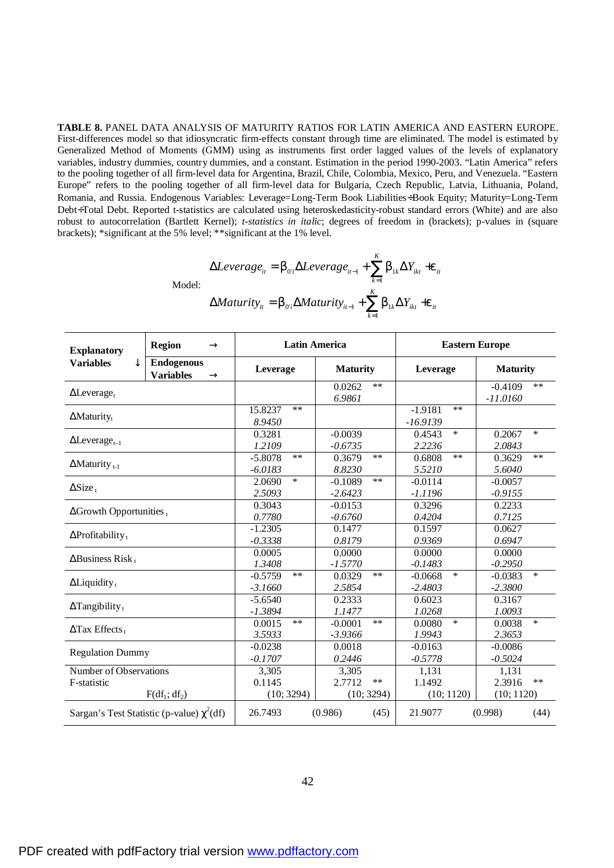**TABLE 8.** PANEL DATA ANALYSIS OF MATURITY RATIOS FOR LATIN AMERICA AND EASTERN EUROPE. First-differences model so that idiosyncratic firm-effects constant through time are eliminated. The model is estimated by Generalized Method of Moments (GMM) using as instruments first order lagged values of the levels of explanatory variables, industry dummies, country dummies, and a constant. Estimation in the period 1990-2003. "Latin America" refers to the pooling together of all firm-level data for Argentina, Brazil, Chile, Colombia, Mexico, Peru, and Venezuela. "Eastern Europe" refers to the pooling together of all firm-level data for Bulgaria, Czech Republic, Latvia, Lithuania, Poland, Romania, and Russia. Endogenous Variables: Leverage=Long-Term Book Liabilities÷Book Equity; Maturity=Long-Term Debt÷Total Debt. Reported t-statistics are calculated using heteroskedasticity-robust standard errors (White) and are also robust to autocorrelation (Bartlett Kernel); *t-statistics in italic*; degrees of freedom in (brackets); p-values in (square brackets); \*significant at the 5% level; \*\*significant at the 1% level.

$$
\Delta Leverage_{ii} = b_{0i} \Delta Leverage_{ii-1} + \sum_{k=1}^{K} b_{1k} \Delta Y_{ikt} + e_{it}
$$
  
Model:  

$$
\Delta Maturity_{it} = b_{0i} \Delta Maturity_{it-1} + \sum_{k=1}^{K} b_{1k} \Delta Y_{ikt} + e_{it}
$$

| <b>Explanatory</b>                             | <b>Region</b>                                        | $\circledR$            |                                 | <b>Latin America</b>         | <b>Eastern Europe</b>            |                                  |  |  |
|------------------------------------------------|------------------------------------------------------|------------------------|---------------------------------|------------------------------|----------------------------------|----------------------------------|--|--|
| <b>Variables</b>                               | <b>Endogenous</b><br><b>Variables</b><br>$\circledR$ |                        | Leverage                        | <b>Maturity</b>              | Leverage                         | <b>Maturity</b>                  |  |  |
| $\Delta$ Leverage <sub>t</sub>                 |                                                      |                        |                                 | 0.0262<br>$**$<br>6.9861     |                                  | **<br>$-0.4109$<br>$-11.0160$    |  |  |
| $\Delta$ Maturity <sub>t</sub>                 |                                                      |                        | $**$<br>15.8237<br>8.9450       |                              | $**$<br>$-1.9181$<br>$-16.9139$  |                                  |  |  |
| $\Delta$ Leverage <sub>t-1</sub>               |                                                      |                        | 0.3281<br>1.2109                | $-0.0039$<br>$-0.6735$       | $\ast$<br>0.4543<br>2.2236       | $\ast$<br>0.2067<br>2.0843       |  |  |
| $\Delta$ Maturity <sub>t-1</sub>               |                                                      |                        | **<br>$-5.8078$<br>$-6.0183$    | **<br>0.3679<br>8.8230       | $***$<br>0.6808<br>5.5210        | **<br>0.3629<br>5.6040           |  |  |
| $\Delta$ Size <sub>t</sub>                     |                                                      |                        | $\ast$<br>2.0690<br>2.5093      | **<br>$-0.1089$<br>$-2.6423$ | $-0.0114$<br>-1.1196             | $-0.0057$<br>$-0.9155$           |  |  |
| $\Delta$ Growth Opportunities $_{t}$           |                                                      |                        | 0.3043<br>0.7780                | $-0.0153$<br>$-0.6760$       | 0.3296<br>0.4204                 | 0.2233<br>0.7125                 |  |  |
| $\Delta$ Profitability <sub>t</sub>            |                                                      |                        | $-1.2305$<br>$-0.3338$          | 0.1477<br>0.8179             | 0.1597<br>0.9369                 | 0.0627<br>0.6947                 |  |  |
| $\Delta$ Business Risk,                        |                                                      |                        | 0.0005<br>1.3408                | 0.0000<br>$-1.5770$          | 0.0000<br>$-0.1483$              | 0.0000<br>$-0.2950$              |  |  |
| $\Delta$ Liquidity <sub>t</sub>                |                                                      |                        | $***$<br>$-0.5759$<br>$-3.1660$ | $**$<br>0.0329<br>2.5854     | $\ast$<br>$-0.0668$<br>$-2.4803$ | $\ast$<br>$-0.0383$<br>$-2.3800$ |  |  |
| $\Delta$ Tangibility <sub>t</sub>              |                                                      |                        | $-5.6540$<br>$-1.3894$          | 0.2333<br>1.1477             | 0.6023<br>1.0268                 | 0.3167<br>1.0093                 |  |  |
| $\Delta$ Tax Effects,                          |                                                      |                        | 0.0015<br>$**$<br>3.5933        | **<br>$-0.0001$<br>$-3.9366$ | $\ast$<br>0.0080<br>1.9943       | $\ast$<br>0.0038<br>2.3653       |  |  |
| <b>Regulation Dummy</b>                        |                                                      |                        | $-0.0238$<br>$-0.1707$          | 0.0018<br>0.2446             | $-0.0163$<br>$-0.5778$           | $-0.0086$<br>$-0.5024$           |  |  |
| <b>Number of Observations</b>                  |                                                      |                        | 3,305                           | 3,305                        | 1,131                            | 1,131                            |  |  |
| F-statistic                                    |                                                      | 0.1145<br>2.7712<br>** |                                 | 1.1492<br>2.3916<br>**       |                                  |                                  |  |  |
|                                                | F(df <sub>1</sub> ; df <sub>2</sub> )                |                        | (10; 3294)<br>(10; 3294)        |                              | (10; 1120)<br>(10; 1120)         |                                  |  |  |
| Sargan's Test Statistic (p-value) $\chi^2(df)$ |                                                      |                        | 26.7493                         | (0.986)<br>(45)              | 21.9077                          | (0.998)<br>(44)                  |  |  |